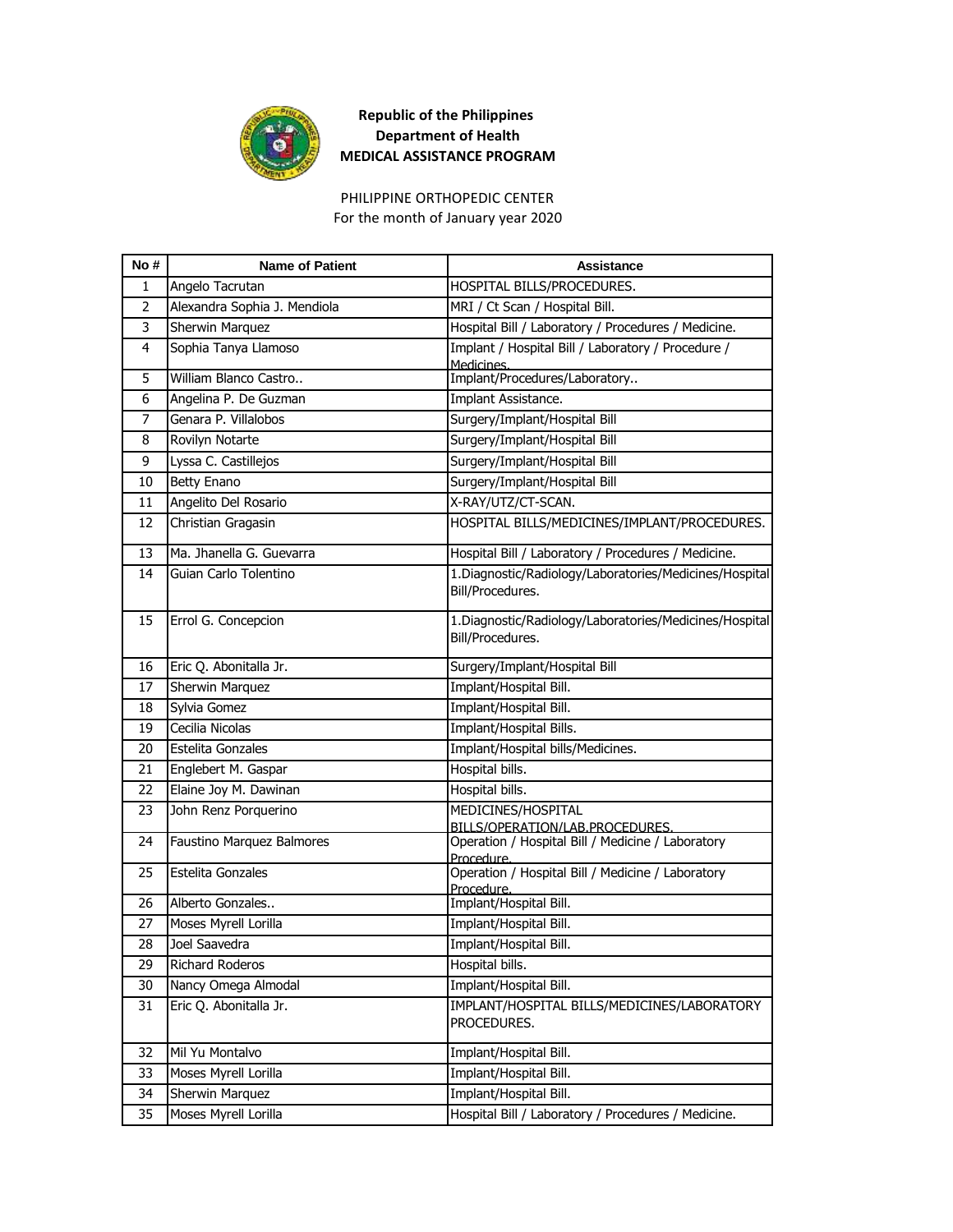

For the month of January year 2020 PHILIPPINE ORTHOPEDIC CENTER

| No#            | <b>Name of Patient</b>       | <b>Assistance</b>                                                           |
|----------------|------------------------------|-----------------------------------------------------------------------------|
| 1              | Angelo Tacrutan              | HOSPITAL BILLS/PROCEDURES.                                                  |
| $\overline{2}$ | Alexandra Sophia J. Mendiola | MRI / Ct Scan / Hospital Bill.                                              |
| 3              | <b>Sherwin Marquez</b>       | Hospital Bill / Laboratory / Procedures / Medicine.                         |
| 4              | Sophia Tanya Llamoso         | Implant / Hospital Bill / Laboratory / Procedure /<br>Medicines.            |
| 5              | William Blanco Castro        | Implant/Procedures/Laboratory                                               |
| 6              | Angelina P. De Guzman        | Implant Assistance.                                                         |
| $\overline{7}$ | Genara P. Villalobos         | Surgery/Implant/Hospital Bill                                               |
| 8              | Rovilyn Notarte              | Surgery/Implant/Hospital Bill                                               |
| 9              | Lyssa C. Castillejos         | Surgery/Implant/Hospital Bill                                               |
| 10             | <b>Betty Enano</b>           | Surgery/Implant/Hospital Bill                                               |
| 11             | Angelito Del Rosario         | X-RAY/UTZ/CT-SCAN.                                                          |
| 12             | Christian Gragasin           | HOSPITAL BILLS/MEDICINES/IMPLANT/PROCEDURES.                                |
| 13             | Ma. Jhanella G. Guevarra     | Hospital Bill / Laboratory / Procedures / Medicine.                         |
| 14             | Guian Carlo Tolentino        | 1.Diagnostic/Radiology/Laboratories/Medicines/Hospital<br>Bill/Procedures.  |
| 15             | Errol G. Concepcion          | 1. Diagnostic/Radiology/Laboratories/Medicines/Hospital<br>Bill/Procedures. |
| 16             | Eric Q. Abonitalla Jr.       | Surgery/Implant/Hospital Bill                                               |
| 17             | Sherwin Marquez              | Implant/Hospital Bill.                                                      |
| 18             | Sylvia Gomez                 | Implant/Hospital Bill.                                                      |
| 19             | Cecilia Nicolas              | Implant/Hospital Bills.                                                     |
| 20             | Estelita Gonzales            | Implant/Hospital bills/Medicines.                                           |
| 21             | Englebert M. Gaspar          | Hospital bills.                                                             |
| 22             | Elaine Joy M. Dawinan        | Hospital bills.                                                             |
| 23             | John Renz Porquerino         | MEDICINES/HOSPITAL<br>BILLS/OPERATION/LAB.PROCEDURES                        |
| 24             | Faustino Marquez Balmores    | Operation / Hospital Bill / Medicine / Laboratory<br>Procedure.             |
| 25             | Estelita Gonzales            | Operation / Hospital Bill / Medicine / Laboratory<br>Procedure.             |
| 26             | Alberto Gonzales             | Implant/Hospital Bill.                                                      |
| 27             | Moses Myrell Lorilla         | Implant/Hospital Bill.                                                      |
| 28             | Joel Saavedra                | Implant/Hospital Bill.                                                      |
| 29             | Richard Roderos              | Hospital bills.                                                             |
| 30             | Nancy Omega Almodal          | Implant/Hospital Bill.                                                      |
| 31             | Eric Q. Abonitalla Jr.       | IMPLANT/HOSPITAL BILLS/MEDICINES/LABORATORY<br>PROCEDURES.                  |
| 32             | Mil Yu Montalvo              | Implant/Hospital Bill.                                                      |
| 33             | Moses Myrell Lorilla         | Implant/Hospital Bill.                                                      |
| 34             | Sherwin Marquez              | Implant/Hospital Bill.                                                      |
| 35             | Moses Myrell Lorilla         | Hospital Bill / Laboratory / Procedures / Medicine.                         |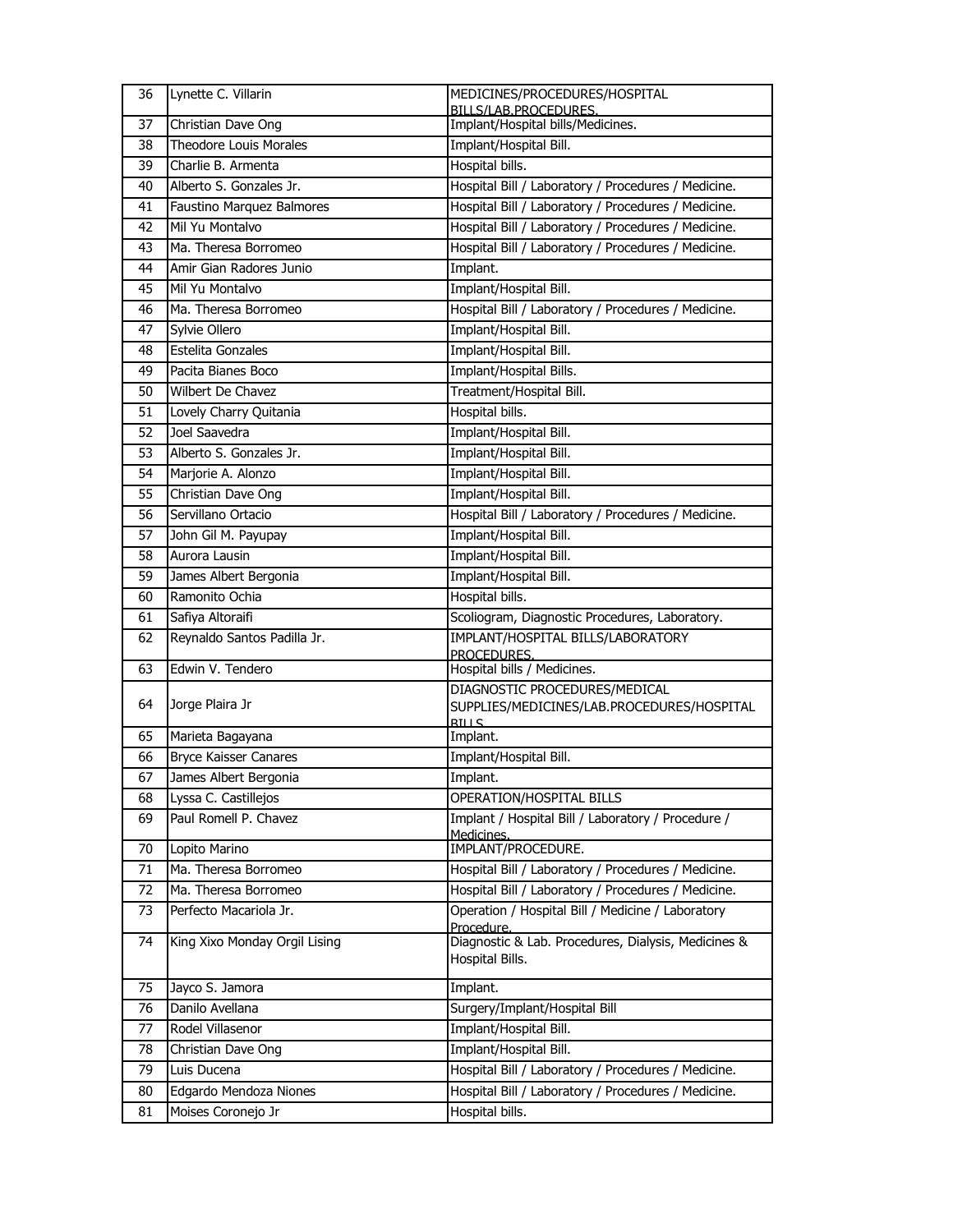| 36 | Lynette C. Villarin                           | MEDICINES/PROCEDURES/HOSPITAL                                                  |
|----|-----------------------------------------------|--------------------------------------------------------------------------------|
| 37 | Christian Dave Ong                            | BILLS/LAB.PROCEDURES.<br>Implant/Hospital bills/Medicines.                     |
| 38 | <b>Theodore Louis Morales</b>                 | Implant/Hospital Bill.                                                         |
| 39 | Charlie B. Armenta                            | Hospital bills.                                                                |
| 40 | Alberto S. Gonzales Jr.                       | Hospital Bill / Laboratory / Procedures / Medicine.                            |
| 41 | Faustino Marquez Balmores                     | Hospital Bill / Laboratory / Procedures / Medicine.                            |
| 42 | Mil Yu Montalvo                               | Hospital Bill / Laboratory / Procedures / Medicine.                            |
| 43 | Ma. Theresa Borromeo                          | Hospital Bill / Laboratory / Procedures / Medicine.                            |
| 44 | Amir Gian Radores Junio                       | Implant.                                                                       |
| 45 | Mil Yu Montalvo                               | Implant/Hospital Bill.                                                         |
| 46 | Ma. Theresa Borromeo                          | Hospital Bill / Laboratory / Procedures / Medicine.                            |
| 47 | Sylvie Ollero                                 | Implant/Hospital Bill.                                                         |
| 48 | Estelita Gonzales                             | Implant/Hospital Bill.                                                         |
| 49 | Pacita Bianes Boco                            | Implant/Hospital Bills.                                                        |
| 50 | Wilbert De Chavez                             | Treatment/Hospital Bill.                                                       |
| 51 | Lovely Charry Quitania                        | Hospital bills.                                                                |
| 52 | Joel Saavedra                                 | Implant/Hospital Bill.                                                         |
| 53 | Alberto S. Gonzales Jr.                       | Implant/Hospital Bill.                                                         |
| 54 | Marjorie A. Alonzo                            | Implant/Hospital Bill.                                                         |
| 55 | Christian Dave Ong                            | Implant/Hospital Bill.                                                         |
| 56 | Servillano Ortacio                            | Hospital Bill / Laboratory / Procedures / Medicine.                            |
| 57 | John Gil M. Payupay                           | Implant/Hospital Bill.                                                         |
| 58 | Aurora Lausin                                 | Implant/Hospital Bill.                                                         |
| 59 | James Albert Bergonia                         | Implant/Hospital Bill.                                                         |
| 60 | Ramonito Ochia                                | Hospital bills.                                                                |
| 61 | Safiya Altoraifi                              | Scoliogram, Diagnostic Procedures, Laboratory.                                 |
| 62 | Reynaldo Santos Padilla Jr.                   | IMPLANT/HOSPITAL BILLS/LABORATORY                                              |
| 63 | Edwin V. Tendero                              | PROCEDURES.<br>Hospital bills / Medicines.                                     |
|    |                                               | DIAGNOSTIC PROCEDURES/MEDICAL                                                  |
| 64 | Jorge Plaira Jr                               | SUPPLIES/MEDICINES/LAB.PROCEDURES/HOSPITAL                                     |
|    |                                               | <b>RILLS</b>                                                                   |
| 65 | Marieta Bagayana                              | Implant.                                                                       |
| 66 | <b>Bryce Kaisser Canares</b>                  | Implant/Hospital Bill.                                                         |
| 67 | James Albert Bergonia                         | Implant.                                                                       |
| 68 | Lyssa C. Castillejos<br>Paul Romell P. Chavez | OPERATION/HOSPITAL BILLS<br>Implant / Hospital Bill / Laboratory / Procedure / |
| 69 |                                               | Medicines.                                                                     |
| 70 | Lopito Marino                                 | IMPLANT/PROCEDURE.                                                             |
| 71 | Ma. Theresa Borromeo                          | Hospital Bill / Laboratory / Procedures / Medicine.                            |
| 72 | Ma. Theresa Borromeo                          | Hospital Bill / Laboratory / Procedures / Medicine.                            |
| 73 | Perfecto Macariola Jr.                        | Operation / Hospital Bill / Medicine / Laboratory<br>Procedure.                |
| 74 | King Xixo Monday Orgil Lising                 | Diagnostic & Lab. Procedures, Dialysis, Medicines &                            |
|    |                                               | Hospital Bills.                                                                |
| 75 | Jayco S. Jamora                               | Implant.                                                                       |
| 76 | Danilo Avellana                               | Surgery/Implant/Hospital Bill                                                  |
| 77 | Rodel Villasenor                              | Implant/Hospital Bill.                                                         |
| 78 | Christian Dave Ong                            | Implant/Hospital Bill.                                                         |
| 79 | Luis Ducena                                   | Hospital Bill / Laboratory / Procedures / Medicine.                            |
| 80 | Edgardo Mendoza Niones                        | Hospital Bill / Laboratory / Procedures / Medicine.                            |
| 81 | Moises Coronejo Jr                            | Hospital bills.                                                                |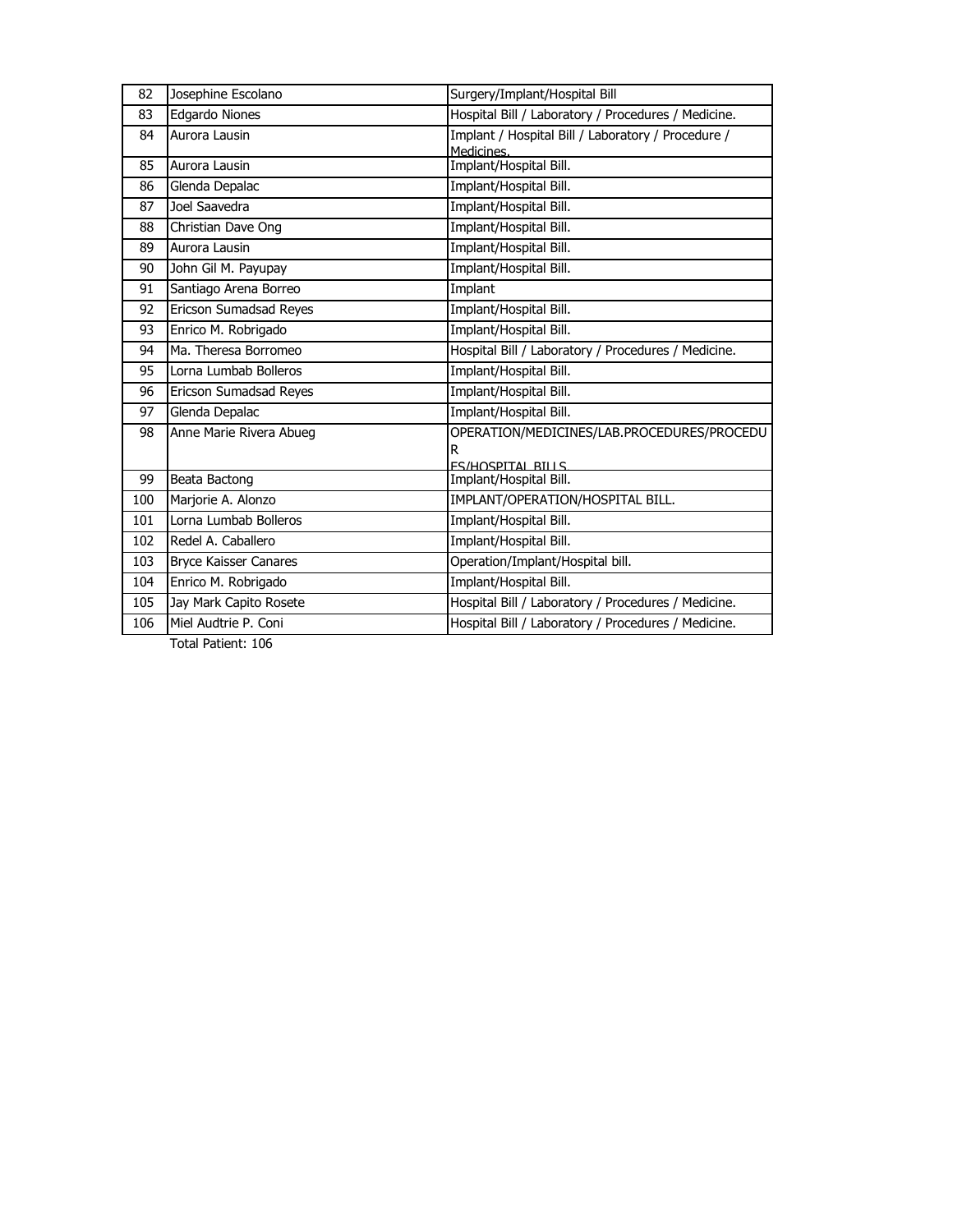| 82  | Josephine Escolano           | Surgery/Implant/Hospital Bill                       |
|-----|------------------------------|-----------------------------------------------------|
| 83  | Edgardo Niones               | Hospital Bill / Laboratory / Procedures / Medicine. |
| 84  | Aurora Lausin                | Implant / Hospital Bill / Laboratory / Procedure /  |
|     |                              | Medicines.                                          |
| 85  | Aurora Lausin                | Implant/Hospital Bill.                              |
| 86  | Glenda Depalac               | Implant/Hospital Bill.                              |
| 87  | Joel Saavedra                | Implant/Hospital Bill.                              |
| 88  | Christian Dave Ong           | Implant/Hospital Bill.                              |
| 89  | Aurora Lausin                | Implant/Hospital Bill.                              |
| 90  | John Gil M. Payupay          | Implant/Hospital Bill.                              |
| 91  | Santiago Arena Borreo        | Implant                                             |
| 92  | Ericson Sumadsad Reyes       | Implant/Hospital Bill.                              |
| 93  | Enrico M. Robrigado          | Implant/Hospital Bill.                              |
| 94  | Ma. Theresa Borromeo         | Hospital Bill / Laboratory / Procedures / Medicine. |
| 95  | Lorna Lumbab Bolleros        | Implant/Hospital Bill.                              |
| 96  | Ericson Sumadsad Reyes       | Implant/Hospital Bill.                              |
| 97  | Glenda Depalac               | Implant/Hospital Bill.                              |
| 98  | Anne Marie Rivera Abueg      | OPERATION/MEDICINES/LAB.PROCEDURES/PROCEDU          |
|     |                              | R                                                   |
|     |                              | <b>FS/HOSPITAL BILLS</b>                            |
| 99  | Beata Bactong                | Implant/Hospital Bill.                              |
| 100 | Marjorie A. Alonzo           | IMPLANT/OPERATION/HOSPITAL BILL.                    |
| 101 | Lorna Lumbab Bolleros        | Implant/Hospital Bill.                              |
| 102 | Redel A. Caballero           | Implant/Hospital Bill.                              |
| 103 | <b>Bryce Kaisser Canares</b> | Operation/Implant/Hospital bill.                    |
| 104 | Enrico M. Robrigado          | Implant/Hospital Bill.                              |
| 105 | Jay Mark Capito Rosete       | Hospital Bill / Laboratory / Procedures / Medicine. |
| 106 | Miel Audtrie P. Coni         | Hospital Bill / Laboratory / Procedures / Medicine. |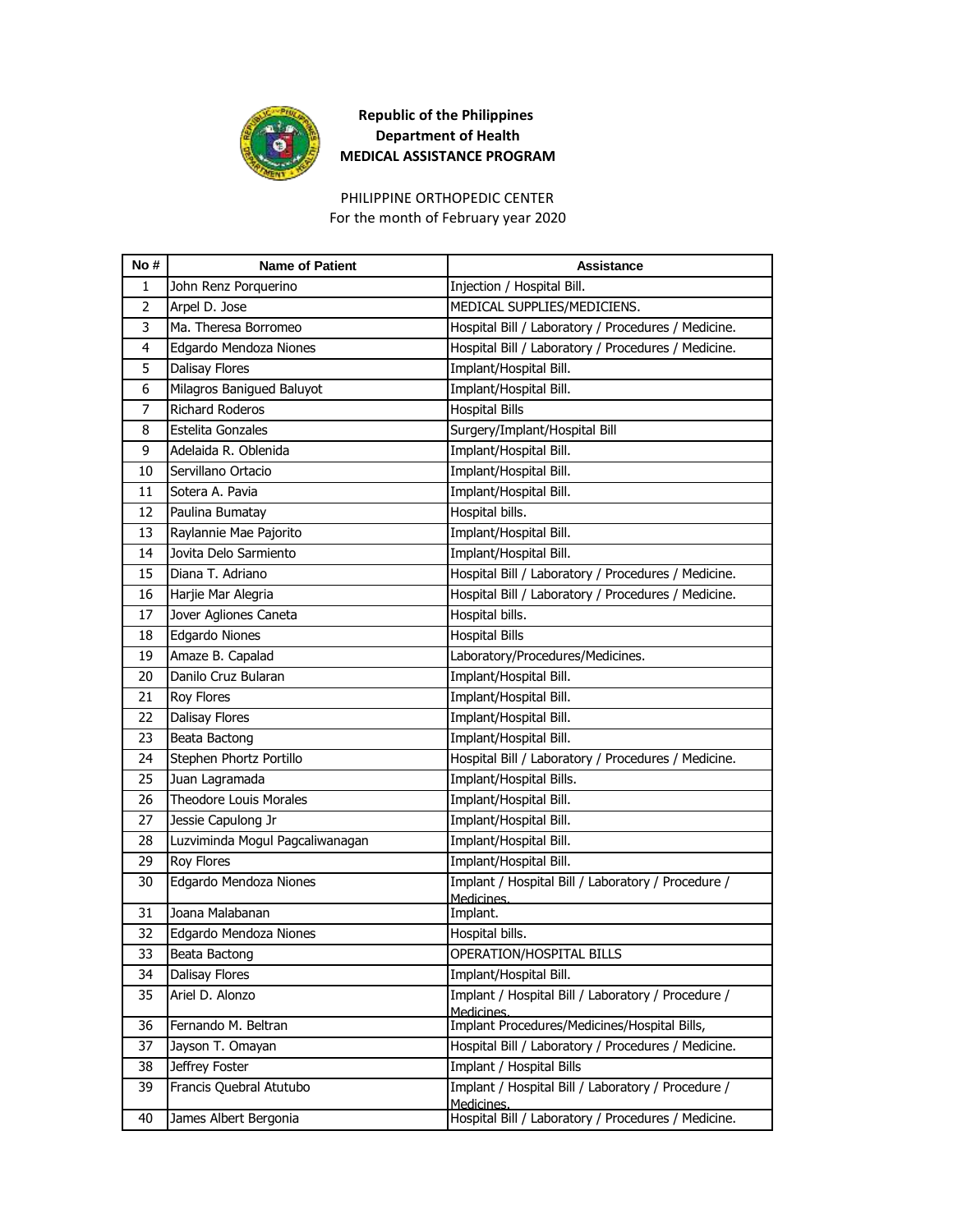

# PHILIPPINE ORTHOPEDIC CENTER

For the month of February year 2020

| No# | <b>Name of Patient</b>          | Assistance                                                       |
|-----|---------------------------------|------------------------------------------------------------------|
| 1   | John Renz Porquerino            | Injection / Hospital Bill.                                       |
| 2   | Arpel D. Jose                   | MEDICAL SUPPLIES/MEDICIENS.                                      |
| 3   | Ma. Theresa Borromeo            | Hospital Bill / Laboratory / Procedures / Medicine.              |
| 4   | Edgardo Mendoza Niones          | Hospital Bill / Laboratory / Procedures / Medicine.              |
| 5   | Dalisay Flores                  | Implant/Hospital Bill.                                           |
| 6   | Milagros Banigued Baluyot       | Implant/Hospital Bill.                                           |
| 7   | <b>Richard Roderos</b>          | <b>Hospital Bills</b>                                            |
| 8   | Estelita Gonzales               | Surgery/Implant/Hospital Bill                                    |
| 9   | Adelaida R. Oblenida            | Implant/Hospital Bill.                                           |
| 10  | Servillano Ortacio              | Implant/Hospital Bill.                                           |
| 11  | Sotera A. Pavia                 | Implant/Hospital Bill.                                           |
| 12  | Paulina Bumatay                 | Hospital bills.                                                  |
| 13  | Raylannie Mae Pajorito          | Implant/Hospital Bill.                                           |
| 14  | Jovita Delo Sarmiento           | Implant/Hospital Bill.                                           |
| 15  | Diana T. Adriano                | Hospital Bill / Laboratory / Procedures / Medicine.              |
| 16  | Harjie Mar Alegria              | Hospital Bill / Laboratory / Procedures / Medicine.              |
| 17  | Jover Agliones Caneta           | Hospital bills.                                                  |
| 18  | Edgardo Niones                  | <b>Hospital Bills</b>                                            |
| 19  | Amaze B. Capalad                | Laboratory/Procedures/Medicines.                                 |
| 20  | Danilo Cruz Bularan             | Implant/Hospital Bill.                                           |
| 21  | <b>Roy Flores</b>               | Implant/Hospital Bill.                                           |
| 22  | Dalisay Flores                  | Implant/Hospital Bill.                                           |
| 23  | Beata Bactong                   | Implant/Hospital Bill.                                           |
| 24  | Stephen Phortz Portillo         | Hospital Bill / Laboratory / Procedures / Medicine.              |
| 25  | Juan Lagramada                  | Implant/Hospital Bills.                                          |
| 26  | <b>Theodore Louis Morales</b>   | Implant/Hospital Bill.                                           |
| 27  | Jessie Capulong Jr              | Implant/Hospital Bill.                                           |
| 28  | Luzviminda Mogul Pagcaliwanagan | Implant/Hospital Bill.                                           |
| 29  | <b>Roy Flores</b>               | Implant/Hospital Bill.                                           |
| 30  | Edgardo Mendoza Niones          | Implant / Hospital Bill / Laboratory / Procedure /               |
| 31  | Joana Malabanan                 | Medicines.<br>Implant.                                           |
| 32  | Edgardo Mendoza Niones          | Hospital bills.                                                  |
| 33  | Beata Bactong                   | OPERATION/HOSPITAL BILLS                                         |
| 34  | Dalisay Flores                  | Implant/Hospital Bill.                                           |
| 35  | Ariel D. Alonzo                 | Implant / Hospital Bill / Laboratory / Procedure /               |
|     |                                 | Medicines.                                                       |
| 36  | Fernando M. Beltran             | Implant Procedures/Medicines/Hospital Bills,                     |
| 37  | Jayson T. Omayan                | Hospital Bill / Laboratory / Procedures / Medicine.              |
| 38  | Jeffrey Foster                  | Implant / Hospital Bills                                         |
| 39  | Francis Quebral Atutubo         | Implant / Hospital Bill / Laboratory / Procedure /<br>Medicines. |
| 40  | James Albert Bergonia           | Hospital Bill / Laboratory / Procedures / Medicine.              |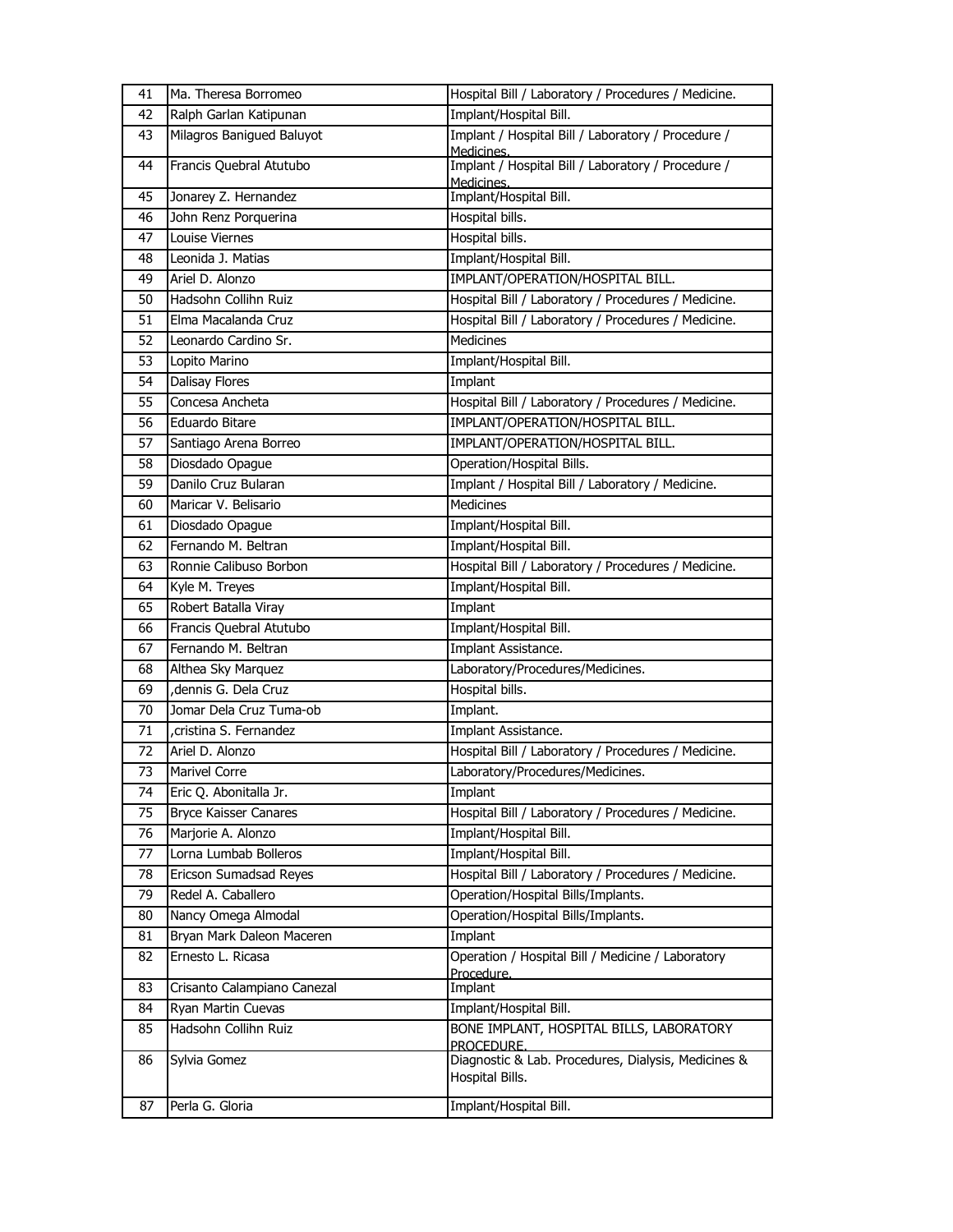| 41 | Ma. Theresa Borromeo         | Hospital Bill / Laboratory / Procedures / Medicine.                    |
|----|------------------------------|------------------------------------------------------------------------|
| 42 | Ralph Garlan Katipunan       | Implant/Hospital Bill.                                                 |
| 43 | Milagros Banigued Baluyot    | Implant / Hospital Bill / Laboratory / Procedure /<br>Medicines.       |
| 44 | Francis Quebral Atutubo      | Implant / Hospital Bill / Laboratory / Procedure /<br>Medicines.       |
| 45 | Jonarey Z. Hernandez         | Implant/Hospital Bill.                                                 |
| 46 | John Renz Porquerina         | Hospital bills.                                                        |
| 47 | Louise Viernes               | Hospital bills.                                                        |
| 48 | Leonida J. Matias            | Implant/Hospital Bill.                                                 |
| 49 | Ariel D. Alonzo              | IMPLANT/OPERATION/HOSPITAL BILL.                                       |
| 50 | Hadsohn Collihn Ruiz         | Hospital Bill / Laboratory / Procedures / Medicine.                    |
| 51 | Elma Macalanda Cruz          | Hospital Bill / Laboratory / Procedures / Medicine.                    |
| 52 | Leonardo Cardino Sr.         | <b>Medicines</b>                                                       |
| 53 | Lopito Marino                | Implant/Hospital Bill.                                                 |
| 54 | Dalisay Flores               | Implant                                                                |
| 55 | Concesa Ancheta              | Hospital Bill / Laboratory / Procedures / Medicine.                    |
| 56 | Eduardo Bitare               | IMPLANT/OPERATION/HOSPITAL BILL.                                       |
| 57 | Santiago Arena Borreo        | IMPLANT/OPERATION/HOSPITAL BILL.                                       |
| 58 | Diosdado Opague              | Operation/Hospital Bills.                                              |
| 59 | Danilo Cruz Bularan          | Implant / Hospital Bill / Laboratory / Medicine.                       |
| 60 | Maricar V. Belisario         | <b>Medicines</b>                                                       |
| 61 | Diosdado Opague              | Implant/Hospital Bill.                                                 |
| 62 | Fernando M. Beltran          | Implant/Hospital Bill.                                                 |
| 63 | Ronnie Calibuso Borbon       | Hospital Bill / Laboratory / Procedures / Medicine.                    |
| 64 | Kyle M. Treyes               | Implant/Hospital Bill.                                                 |
| 65 | Robert Batalla Viray         | Implant                                                                |
| 66 | Francis Quebral Atutubo      | Implant/Hospital Bill.                                                 |
|    |                              |                                                                        |
| 67 | Fernando M. Beltran          | Implant Assistance.                                                    |
| 68 | Althea Sky Marquez           | Laboratory/Procedures/Medicines.                                       |
| 69 | , dennis G. Dela Cruz        | Hospital bills.                                                        |
| 70 | Jomar Dela Cruz Tuma-ob      | Implant.                                                               |
| 71 | cristina S. Fernandez        | Implant Assistance.                                                    |
| 72 | Ariel D. Alonzo              | Hospital Bill / Laboratory / Procedures / Medicine.                    |
| 73 | Marivel Corre                | Laboratory/Procedures/Medicines.                                       |
| 74 | Eric Q. Abonitalla Jr.       | Implant                                                                |
| 75 | <b>Bryce Kaisser Canares</b> | Hospital Bill / Laboratory / Procedures / Medicine.                    |
| 76 | Marjorie A. Alonzo           | Implant/Hospital Bill.                                                 |
| 77 | Lorna Lumbab Bolleros        | Implant/Hospital Bill.                                                 |
| 78 | Ericson Sumadsad Reyes       | Hospital Bill / Laboratory / Procedures / Medicine.                    |
| 79 | Redel A. Caballero           | Operation/Hospital Bills/Implants.                                     |
| 80 | Nancy Omega Almodal          | Operation/Hospital Bills/Implants.                                     |
| 81 | Bryan Mark Daleon Maceren    | Implant                                                                |
| 82 | Ernesto L. Ricasa            | Operation / Hospital Bill / Medicine / Laboratory                      |
| 83 | Crisanto Calampiano Canezal  | Procedure.<br>Implant                                                  |
| 84 | Ryan Martin Cuevas           | Implant/Hospital Bill.                                                 |
| 85 | Hadsohn Collihn Ruiz         | BONE IMPLANT, HOSPITAL BILLS, LABORATORY<br>PROCEDURE.                 |
| 86 | Sylvia Gomez                 | Diagnostic & Lab. Procedures, Dialysis, Medicines &<br>Hospital Bills. |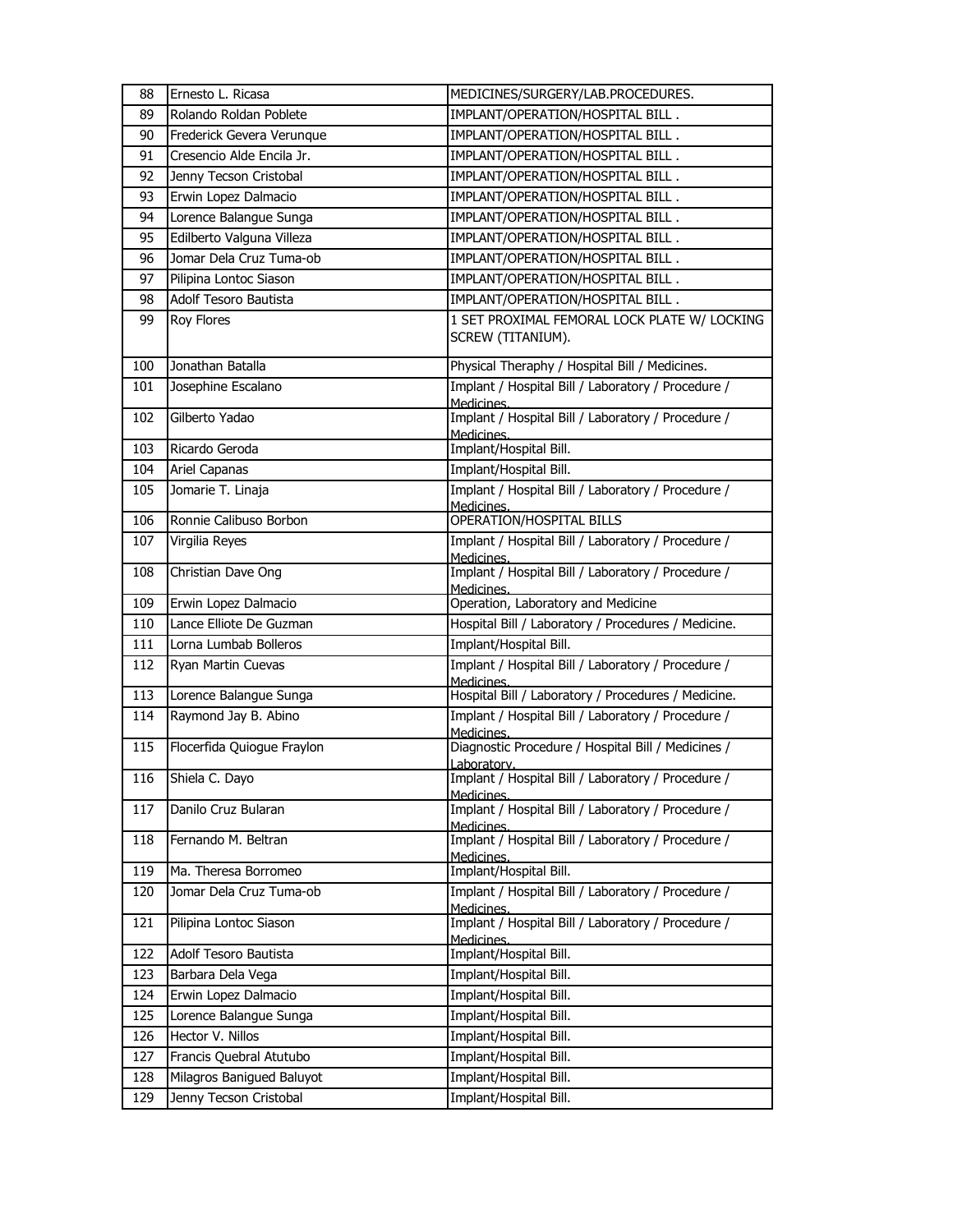| 88  | Ernesto L. Ricasa          | MEDICINES/SURGERY/LAB.PROCEDURES.                                 |
|-----|----------------------------|-------------------------------------------------------------------|
| 89  | Rolando Roldan Poblete     | IMPLANT/OPERATION/HOSPITAL BILL.                                  |
| 90  | Frederick Gevera Verunque  | IMPLANT/OPERATION/HOSPITAL BILL.                                  |
| 91  | Cresencio Alde Encila Jr.  | IMPLANT/OPERATION/HOSPITAL BILL.                                  |
| 92  | Jenny Tecson Cristobal     | IMPLANT/OPERATION/HOSPITAL BILL.                                  |
| 93  | Erwin Lopez Dalmacio       | IMPLANT/OPERATION/HOSPITAL BILL.                                  |
| 94  | Lorence Balangue Sunga     | IMPLANT/OPERATION/HOSPITAL BILL.                                  |
| 95  | Edilberto Valguna Villeza  | IMPLANT/OPERATION/HOSPITAL BILL.                                  |
| 96  | Jomar Dela Cruz Tuma-ob    | IMPLANT/OPERATION/HOSPITAL BILL.                                  |
| 97  | Pilipina Lontoc Siason     | IMPLANT/OPERATION/HOSPITAL BILL.                                  |
| 98  | Adolf Tesoro Bautista      | IMPLANT/OPERATION/HOSPITAL BILL.                                  |
| 99  | Roy Flores                 | 1 SET PROXIMAL FEMORAL LOCK PLATE W/ LOCKING<br>SCREW (TITANIUM). |
| 100 | Jonathan Batalla           | Physical Theraphy / Hospital Bill / Medicines.                    |
| 101 | Josephine Escalano         | Implant / Hospital Bill / Laboratory / Procedure /<br>Medicines.  |
| 102 | Gilberto Yadao             | Implant / Hospital Bill / Laboratory / Procedure /<br>Medicines.  |
| 103 | Ricardo Geroda             | Implant/Hospital Bill.                                            |
| 104 | Ariel Capanas              | Implant/Hospital Bill.                                            |
| 105 | Jomarie T. Linaja          | Implant / Hospital Bill / Laboratory / Procedure /<br>Medicines.  |
| 106 | Ronnie Calibuso Borbon     | <b>OPERATION/HOSPITAL BILLS</b>                                   |
| 107 | Virgilia Reyes             | Implant / Hospital Bill / Laboratory / Procedure /<br>Medicines.  |
| 108 | Christian Dave Ong         | Implant / Hospital Bill / Laboratory / Procedure /<br>Medicines.  |
| 109 | Erwin Lopez Dalmacio       | Operation, Laboratory and Medicine                                |
| 110 | Lance Elliote De Guzman    | Hospital Bill / Laboratory / Procedures / Medicine.               |
| 111 | Lorna Lumbab Bolleros      | Implant/Hospital Bill.                                            |
| 112 | Ryan Martin Cuevas         | Implant / Hospital Bill / Laboratory / Procedure /<br>Medicines.  |
| 113 | Lorence Balangue Sunga     | Hospital Bill / Laboratory / Procedures / Medicine.               |
| 114 | Raymond Jay B. Abino       | Implant / Hospital Bill / Laboratory / Procedure /<br>Medicines.  |
| 115 | Flocerfida Quiogue Fraylon | Diagnostic Procedure / Hospital Bill / Medicines /<br>Laboratory. |
| 116 | Shiela C. Dayo             | Implant / Hospital Bill / Laboratory / Procedure /<br>Medicines.  |
| 117 | Danilo Cruz Bularan        | Implant / Hospital Bill / Laboratory / Procedure /<br>Medicines.  |
| 118 | Fernando M. Beltran        | Implant / Hospital Bill / Laboratory / Procedure /<br>Medicines.  |
| 119 | Ma. Theresa Borromeo       | Implant/Hospital Bill.                                            |
| 120 | Jomar Dela Cruz Tuma-ob    | Implant / Hospital Bill / Laboratory / Procedure /<br>Medicines.  |
| 121 | Pilipina Lontoc Siason     | Implant / Hospital Bill / Laboratory / Procedure /<br>Medicines.  |
| 122 | Adolf Tesoro Bautista      | Implant/Hospital Bill.                                            |
| 123 | Barbara Dela Vega          | Implant/Hospital Bill.                                            |
| 124 | Erwin Lopez Dalmacio       | Implant/Hospital Bill.                                            |
| 125 | Lorence Balangue Sunga     | Implant/Hospital Bill.                                            |
| 126 | Hector V. Nillos           | Implant/Hospital Bill.                                            |
| 127 | Francis Quebral Atutubo    | Implant/Hospital Bill.                                            |
| 128 | Milagros Banigued Baluyot  | Implant/Hospital Bill.                                            |
| 129 | Jenny Tecson Cristobal     | Implant/Hospital Bill.                                            |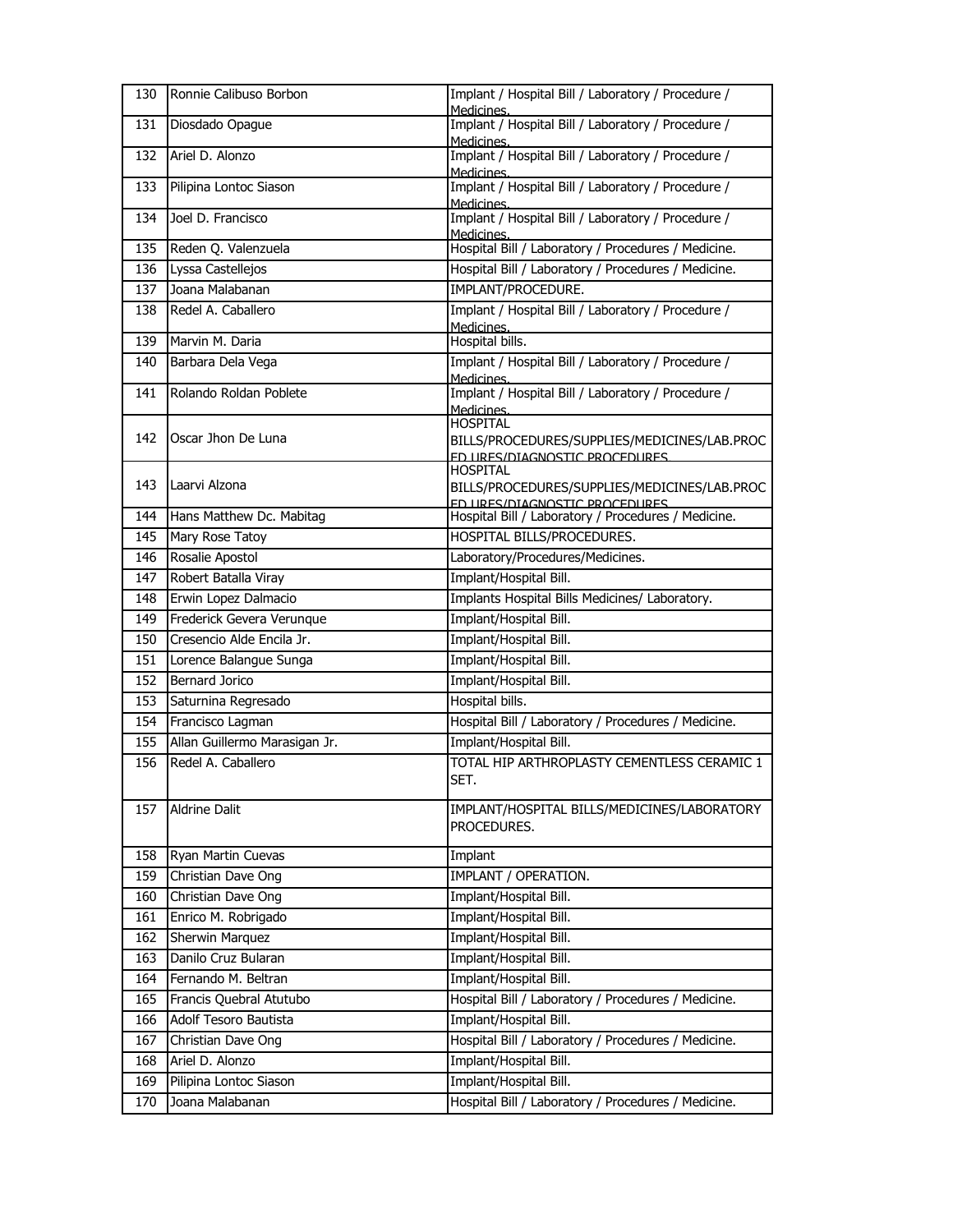| 130 | Ronnie Calibuso Borbon        | Implant / Hospital Bill / Laboratory / Procedure /<br>Medicines. |
|-----|-------------------------------|------------------------------------------------------------------|
| 131 | Diosdado Opague               | Implant / Hospital Bill / Laboratory / Procedure /<br>Medicines. |
| 132 | Ariel D. Alonzo               | Implant / Hospital Bill / Laboratory / Procedure /<br>Medicines. |
| 133 | Pilipina Lontoc Siason        | Implant / Hospital Bill / Laboratory / Procedure /<br>Medicines. |
| 134 | Joel D. Francisco             | Implant / Hospital Bill / Laboratory / Procedure /<br>Medicines. |
| 135 | Reden Q. Valenzuela           | Hospital Bill / Laboratory / Procedures / Medicine.              |
| 136 | Lyssa Castellejos             | Hospital Bill / Laboratory / Procedures / Medicine.              |
| 137 | Joana Malabanan               | IMPLANT/PROCEDURE.                                               |
| 138 | Redel A. Caballero            | Implant / Hospital Bill / Laboratory / Procedure /<br>Medicines. |
| 139 | Marvin M. Daria               | Hospital bills.                                                  |
| 140 | Barbara Dela Vega             | Implant / Hospital Bill / Laboratory / Procedure /<br>Medicines. |
| 141 | Rolando Roldan Poblete        | Implant / Hospital Bill / Laboratory / Procedure /<br>Medicines. |
|     |                               | HOSPITAL                                                         |
| 142 | Oscar Jhon De Luna            | BILLS/PROCEDURES/SUPPLIES/MEDICINES/LAB.PROC                     |
|     |                               | ED URES/DIAGNOSTIC PROCEDURES<br>HOSPITAL                        |
| 143 | Laarvi Alzona                 | BILLS/PROCEDURES/SUPPLIES/MEDICINES/LAB.PROC                     |
|     |                               | ED LIRES/DIAGNOSTIC PROCEDURES                                   |
| 144 | Hans Matthew Dc. Mabitag      | Hospital Bill / Laboratory / Procedures / Medicine.              |
| 145 | Mary Rose Tatoy               | HOSPITAL BILLS/PROCEDURES.                                       |
| 146 | Rosalie Apostol               | Laboratory/Procedures/Medicines.                                 |
| 147 | Robert Batalla Viray          | Implant/Hospital Bill.                                           |
| 148 | Erwin Lopez Dalmacio          | Implants Hospital Bills Medicines/ Laboratory.                   |
| 149 | Frederick Gevera Verunque     | Implant/Hospital Bill.                                           |
| 150 | Cresencio Alde Encila Jr.     | Implant/Hospital Bill.                                           |
| 151 | Lorence Balangue Sunga        | Implant/Hospital Bill.                                           |
| 152 | <b>Bernard Jorico</b>         | Implant/Hospital Bill.                                           |
| 153 | Saturnina Regresado           | Hospital bills.                                                  |
| 154 | Francisco Lagman              | Hospital Bill / Laboratory / Procedures / Medicine.              |
| 155 | Allan Guillermo Marasigan Jr. | Implant/Hospital Bill.                                           |
| 156 | Redel A. Caballero            | TOTAL HIP ARTHROPLASTY CEMENTLESS CERAMIC 1<br>SET.              |
| 157 | Aldrine Dalit                 | IMPLANT/HOSPITAL BILLS/MEDICINES/LABORATORY<br>PROCEDURES.       |
| 158 | Ryan Martin Cuevas            | Implant                                                          |
| 159 | Christian Dave Ong            | IMPLANT / OPERATION.                                             |
| 160 | Christian Dave Ong            | Implant/Hospital Bill.                                           |
| 161 | Enrico M. Robrigado           | Implant/Hospital Bill.                                           |
| 162 | Sherwin Marquez               | Implant/Hospital Bill.                                           |
| 163 | Danilo Cruz Bularan           | Implant/Hospital Bill.                                           |
| 164 | Fernando M. Beltran           | Implant/Hospital Bill.                                           |
| 165 | Francis Quebral Atutubo       | Hospital Bill / Laboratory / Procedures / Medicine.              |
| 166 | Adolf Tesoro Bautista         | Implant/Hospital Bill.                                           |
| 167 | Christian Dave Ong            | Hospital Bill / Laboratory / Procedures / Medicine.              |
| 168 | Ariel D. Alonzo               | Implant/Hospital Bill.                                           |
| 169 | Pilipina Lontoc Siason        | Implant/Hospital Bill.                                           |
| 170 | Joana Malabanan               | Hospital Bill / Laboratory / Procedures / Medicine.              |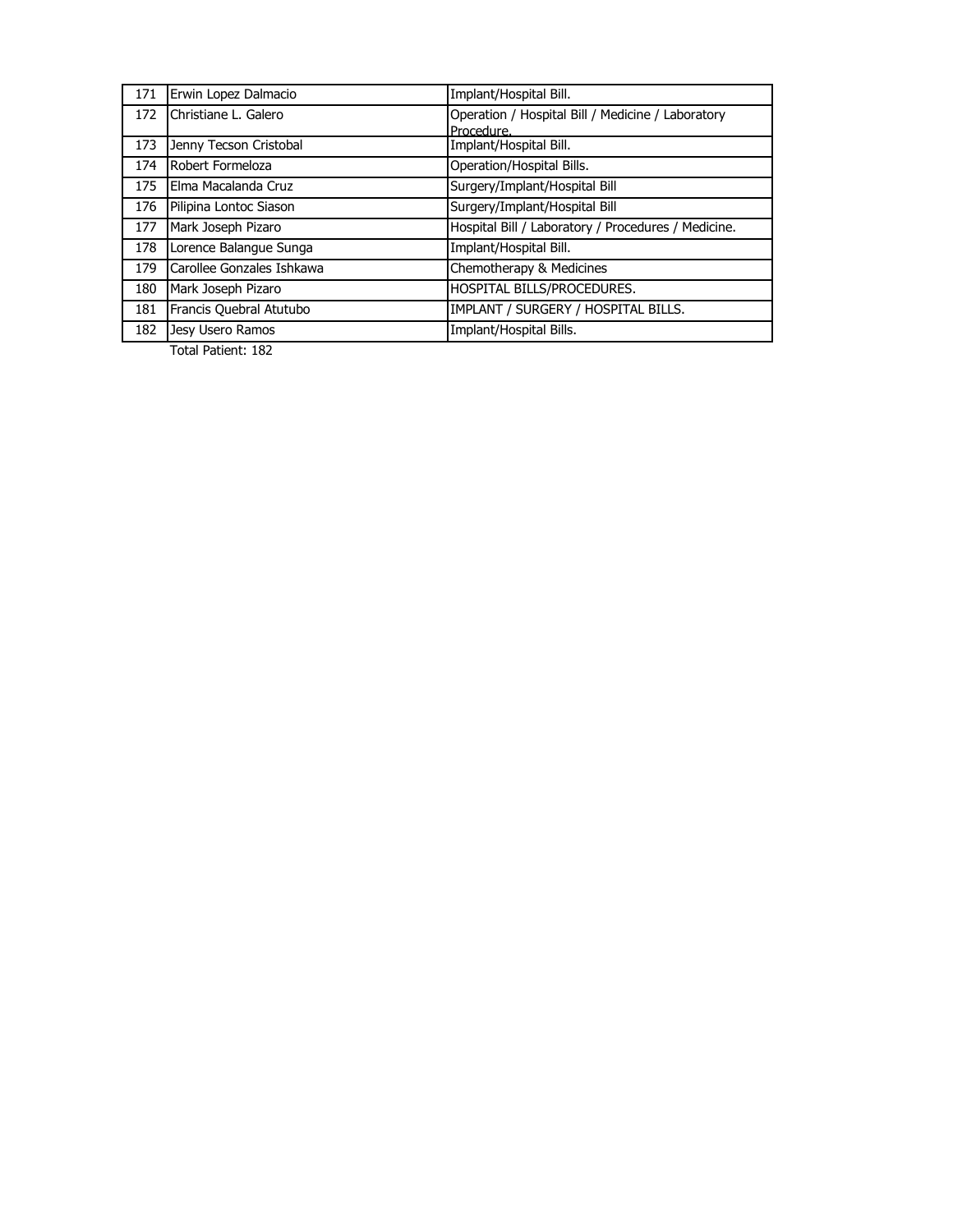| 171 | Erwin Lopez Dalmacio      | Implant/Hospital Bill.                              |
|-----|---------------------------|-----------------------------------------------------|
| 172 | Christiane L. Galero      | Operation / Hospital Bill / Medicine / Laboratory   |
|     |                           | Procedure.                                          |
| 173 | Jenny Tecson Cristobal    | Implant/Hospital Bill.                              |
| 174 | Robert Formeloza          | Operation/Hospital Bills.                           |
| 175 | Elma Macalanda Cruz       | Surgery/Implant/Hospital Bill                       |
| 176 | Pilipina Lontoc Siason    | Surgery/Implant/Hospital Bill                       |
| 177 | Mark Joseph Pizaro        | Hospital Bill / Laboratory / Procedures / Medicine. |
| 178 | Lorence Balangue Sunga    | Implant/Hospital Bill.                              |
| 179 | Carollee Gonzales Ishkawa | Chemotherapy & Medicines                            |
| 180 | Mark Joseph Pizaro        | HOSPITAL BILLS/PROCEDURES.                          |
| 181 | Francis Quebral Atutubo   | IMPLANT / SURGERY / HOSPITAL BILLS.                 |
| 182 | Jesy Usero Ramos          | Implant/Hospital Bills.                             |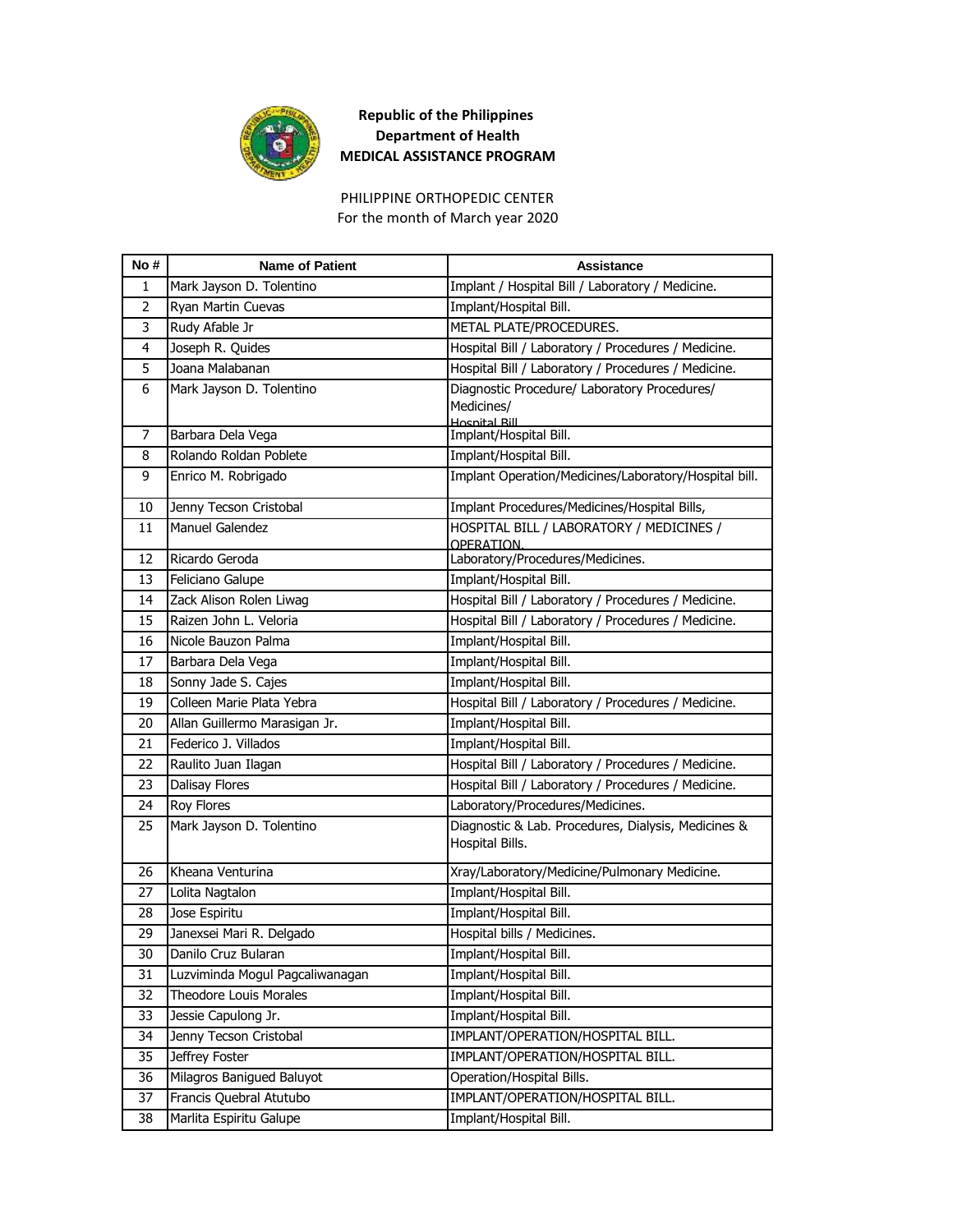

For the month of March year 2020 PHILIPPINE ORTHOPEDIC CENTER

| No#            | <b>Name of Patient</b>          | Assistance                                                             |
|----------------|---------------------------------|------------------------------------------------------------------------|
| 1              | Mark Jayson D. Tolentino        | Implant / Hospital Bill / Laboratory / Medicine.                       |
| $\overline{2}$ | Ryan Martin Cuevas              | Implant/Hospital Bill.                                                 |
| 3              | Rudy Afable Jr                  | METAL PLATE/PROCEDURES.                                                |
| 4              | Joseph R. Quides                | Hospital Bill / Laboratory / Procedures / Medicine.                    |
| 5              | Joana Malabanan                 | Hospital Bill / Laboratory / Procedures / Medicine.                    |
| 6              | Mark Jayson D. Tolentino        | Diagnostic Procedure/ Laboratory Procedures/                           |
|                |                                 | Medicines/<br>Hosnital Rill                                            |
| 7              | Barbara Dela Vega               | Implant/Hospital Bill.                                                 |
| 8              | Rolando Roldan Poblete          | Implant/Hospital Bill.                                                 |
| 9              | Enrico M. Robrigado             | Implant Operation/Medicines/Laboratory/Hospital bill.                  |
| 10             | Jenny Tecson Cristobal          | Implant Procedures/Medicines/Hospital Bills,                           |
| 11             | Manuel Galendez                 | HOSPITAL BILL / LABORATORY / MEDICINES /<br>OPERATION.                 |
| 12             | Ricardo Geroda                  | Laboratory/Procedures/Medicines.                                       |
| 13             | Feliciano Galupe                | Implant/Hospital Bill.                                                 |
| 14             | Zack Alison Rolen Liwag         | Hospital Bill / Laboratory / Procedures / Medicine.                    |
| 15             | Raizen John L. Veloria          | Hospital Bill / Laboratory / Procedures / Medicine.                    |
| 16             | Nicole Bauzon Palma             | Implant/Hospital Bill.                                                 |
| 17             | Barbara Dela Vega               | Implant/Hospital Bill.                                                 |
| 18             | Sonny Jade S. Cajes             | Implant/Hospital Bill.                                                 |
| 19             | Colleen Marie Plata Yebra       | Hospital Bill / Laboratory / Procedures / Medicine.                    |
| 20             | Allan Guillermo Marasigan Jr.   | Implant/Hospital Bill.                                                 |
| 21             | Federico J. Villados            | Implant/Hospital Bill.                                                 |
| 22             | Raulito Juan Ilagan             | Hospital Bill / Laboratory / Procedures / Medicine.                    |
| 23             | <b>Dalisay Flores</b>           | Hospital Bill / Laboratory / Procedures / Medicine.                    |
| 24             | Roy Flores                      | Laboratory/Procedures/Medicines.                                       |
| 25             | Mark Jayson D. Tolentino        | Diagnostic & Lab. Procedures, Dialysis, Medicines &<br>Hospital Bills. |
| 26             | Kheana Venturina                | Xray/Laboratory/Medicine/Pulmonary Medicine.                           |
| 27             | Lolita Nagtalon                 | Implant/Hospital Bill.                                                 |
| 28             | Jose Espiritu                   | Implant/Hospital Bill.                                                 |
| 29             | Janexsei Mari R. Delgado        | Hospital bills / Medicines.                                            |
| 30             | Danilo Cruz Bularan             | Implant/Hospital Bill.                                                 |
| 31             | Luzviminda Mogul Pagcaliwanagan | Implant/Hospital Bill.                                                 |
| 32             | <b>Theodore Louis Morales</b>   | Implant/Hospital Bill.                                                 |
| 33             | Jessie Capulong Jr.             | Implant/Hospital Bill.                                                 |
| 34             | Jenny Tecson Cristobal          | IMPLANT/OPERATION/HOSPITAL BILL.                                       |
| 35             | Jeffrey Foster                  | IMPLANT/OPERATION/HOSPITAL BILL.                                       |
| 36             | Milagros Banigued Baluyot       | Operation/Hospital Bills.                                              |
| 37             | Francis Quebral Atutubo         | IMPLANT/OPERATION/HOSPITAL BILL.                                       |
| 38             | Marlita Espiritu Galupe         | Implant/Hospital Bill.                                                 |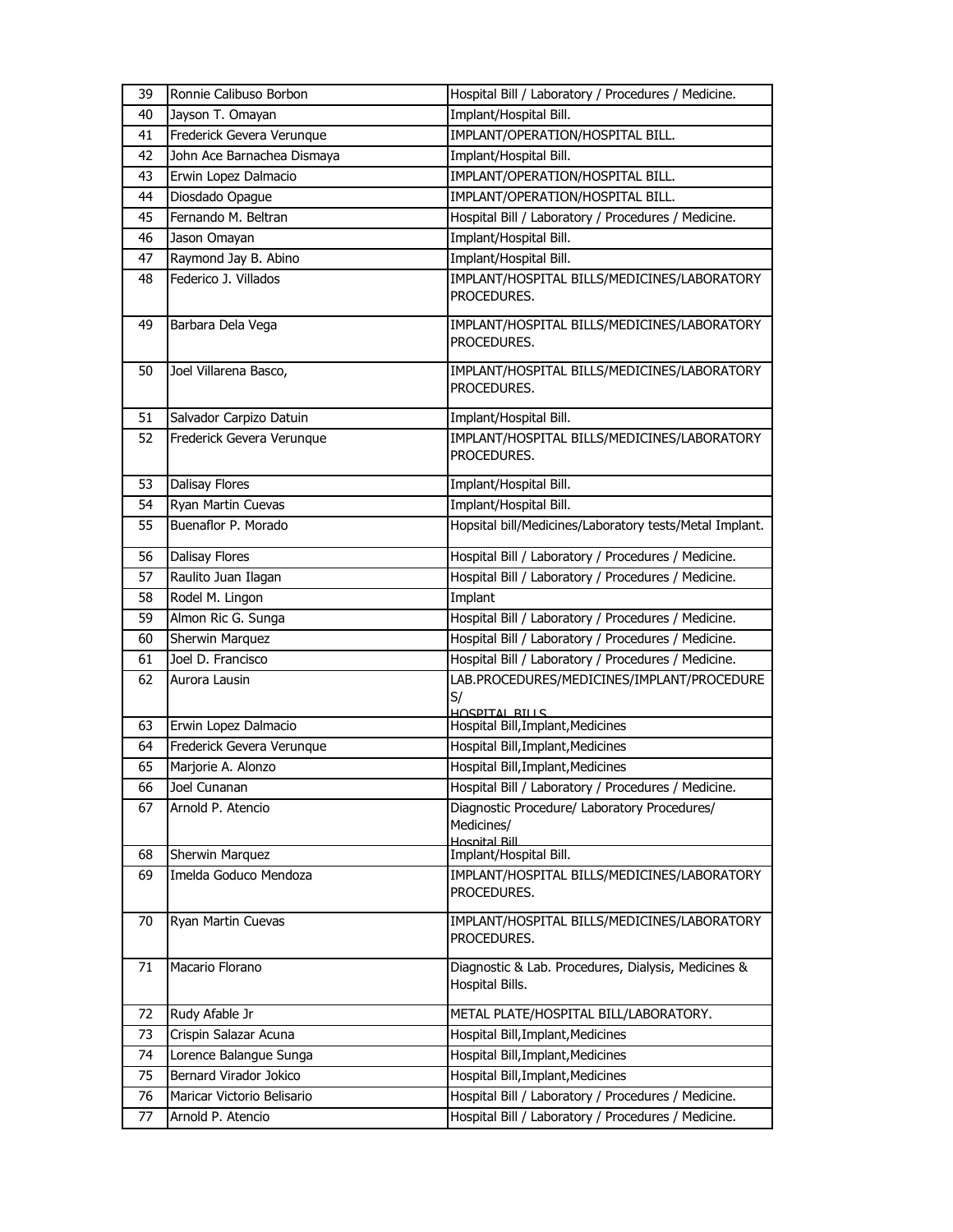| 39 | Ronnie Calibuso Borbon     | Hospital Bill / Laboratory / Procedures / Medicine.                         |
|----|----------------------------|-----------------------------------------------------------------------------|
| 40 | Jayson T. Omayan           | Implant/Hospital Bill.                                                      |
| 41 | Frederick Gevera Verunque  | IMPLANT/OPERATION/HOSPITAL BILL.                                            |
| 42 | John Ace Barnachea Dismaya | Implant/Hospital Bill.                                                      |
| 43 | Erwin Lopez Dalmacio       | IMPLANT/OPERATION/HOSPITAL BILL.                                            |
| 44 | Diosdado Opague            | IMPLANT/OPERATION/HOSPITAL BILL.                                            |
| 45 | Fernando M. Beltran        | Hospital Bill / Laboratory / Procedures / Medicine.                         |
| 46 | Jason Omayan               | Implant/Hospital Bill.                                                      |
| 47 | Raymond Jay B. Abino       | Implant/Hospital Bill.                                                      |
| 48 | Federico J. Villados       | IMPLANT/HOSPITAL BILLS/MEDICINES/LABORATORY<br>PROCEDURES.                  |
| 49 | Barbara Dela Vega          | IMPLANT/HOSPITAL BILLS/MEDICINES/LABORATORY<br>PROCEDURES.                  |
| 50 | Joel Villarena Basco,      | IMPLANT/HOSPITAL BILLS/MEDICINES/LABORATORY<br>PROCEDURES.                  |
| 51 | Salvador Carpizo Datuin    | Implant/Hospital Bill.                                                      |
| 52 | Frederick Gevera Verunque  | IMPLANT/HOSPITAL BILLS/MEDICINES/LABORATORY<br>PROCEDURES.                  |
| 53 | Dalisay Flores             | Implant/Hospital Bill.                                                      |
| 54 | Ryan Martin Cuevas         | Implant/Hospital Bill.                                                      |
| 55 | Buenaflor P. Morado        | Hopsital bill/Medicines/Laboratory tests/Metal Implant.                     |
| 56 | Dalisay Flores             | Hospital Bill / Laboratory / Procedures / Medicine.                         |
| 57 | Raulito Juan Ilagan        | Hospital Bill / Laboratory / Procedures / Medicine.                         |
| 58 | Rodel M. Lingon            | Implant                                                                     |
| 59 | Almon Ric G. Sunga         | Hospital Bill / Laboratory / Procedures / Medicine.                         |
| 60 | Sherwin Marquez            | Hospital Bill / Laboratory / Procedures / Medicine.                         |
| 61 | Joel D. Francisco          | Hospital Bill / Laboratory / Procedures / Medicine.                         |
| 62 | Aurora Lausin              | LAB.PROCEDURES/MEDICINES/IMPLANT/PROCEDURE<br>S/<br>HOSPITAL BILLS          |
| 63 | Erwin Lopez Dalmacio       | Hospital Bill, Implant, Medicines                                           |
| 64 | Frederick Gevera Verunque  | Hospital Bill, Implant, Medicines                                           |
| 65 | Marjorie A. Alonzo         | Hospital Bill, Implant, Medicines                                           |
| 66 | Joel Cunanan               | Hospital Bill / Laboratory / Procedures / Medicine.                         |
| 67 | Arnold P. Atencio          | Diagnostic Procedure/ Laboratory Procedures/<br>Medicines/<br>Hosnital Rill |
| 68 | <b>Sherwin Marquez</b>     | Implant/Hospital Bill.                                                      |
| 69 | Imelda Goduco Mendoza      | IMPLANT/HOSPITAL BILLS/MEDICINES/LABORATORY<br>PROCEDURES.                  |
| 70 | Ryan Martin Cuevas         | IMPLANT/HOSPITAL BILLS/MEDICINES/LABORATORY<br>PROCEDURES.                  |
| 71 | Macario Florano            | Diagnostic & Lab. Procedures, Dialysis, Medicines &<br>Hospital Bills.      |
| 72 | Rudy Afable Jr             | METAL PLATE/HOSPITAL BILL/LABORATORY.                                       |
| 73 | Crispin Salazar Acuna      | Hospital Bill, Implant, Medicines                                           |
| 74 | Lorence Balangue Sunga     | Hospital Bill, Implant, Medicines                                           |
| 75 | Bernard Virador Jokico     | Hospital Bill, Implant, Medicines                                           |
| 76 | Maricar Victorio Belisario | Hospital Bill / Laboratory / Procedures / Medicine.                         |
| 77 | Arnold P. Atencio          | Hospital Bill / Laboratory / Procedures / Medicine.                         |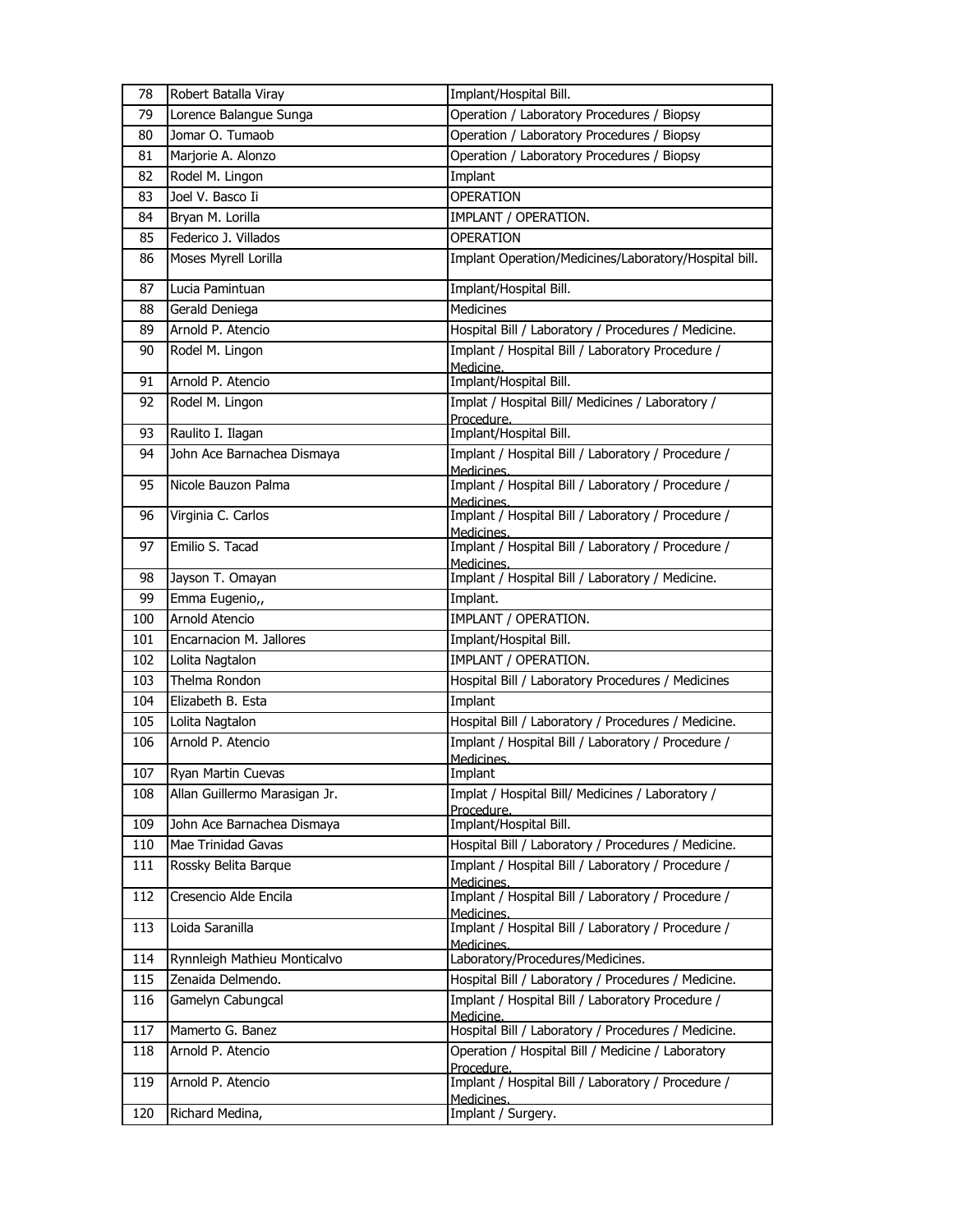| 78  | Robert Batalla Viray          | Implant/Hospital Bill.                                           |
|-----|-------------------------------|------------------------------------------------------------------|
| 79  | Lorence Balangue Sunga        | Operation / Laboratory Procedures / Biopsy                       |
| 80  | Jomar O. Tumaob               | Operation / Laboratory Procedures / Biopsy                       |
| 81  | Marjorie A. Alonzo            | Operation / Laboratory Procedures / Biopsy                       |
| 82  | Rodel M. Lingon               | Implant                                                          |
| 83  | Joel V. Basco Ii              | <b>OPERATION</b>                                                 |
| 84  | Bryan M. Lorilla              | IMPLANT / OPERATION.                                             |
| 85  | Federico J. Villados          | <b>OPERATION</b>                                                 |
| 86  | Moses Myrell Lorilla          | Implant Operation/Medicines/Laboratory/Hospital bill.            |
| 87  | Lucia Pamintuan               | Implant/Hospital Bill.                                           |
| 88  | Gerald Deniega                | Medicines                                                        |
| 89  | Arnold P. Atencio             | Hospital Bill / Laboratory / Procedures / Medicine.              |
| 90  | Rodel M. Lingon               | Implant / Hospital Bill / Laboratory Procedure /<br>Medicine.    |
| 91  | Arnold P. Atencio             | Implant/Hospital Bill.                                           |
| 92  | Rodel M. Lingon               | Implat / Hospital Bill/ Medicines / Laboratory /<br>Procedure.   |
| 93  | Raulito I. Ilagan             | Implant/Hospital Bill.                                           |
| 94  | John Ace Barnachea Dismaya    | Implant / Hospital Bill / Laboratory / Procedure /<br>Medicines. |
| 95  | Nicole Bauzon Palma           | Implant / Hospital Bill / Laboratory / Procedure /<br>Medicines. |
| 96  | Virginia C. Carlos            | Implant / Hospital Bill / Laboratory / Procedure /<br>Medicines. |
| 97  | Emilio S. Tacad               | Implant / Hospital Bill / Laboratory / Procedure /<br>Medicines. |
| 98  | Jayson T. Omayan              | Implant / Hospital Bill / Laboratory / Medicine.                 |
| 99  | Emma Eugenio,,                | Implant.                                                         |
| 100 | Arnold Atencio                | <b>IMPLANT / OPERATION.</b>                                      |
| 101 | Encarnacion M. Jallores       | Implant/Hospital Bill.                                           |
| 102 | Lolita Nagtalon               | IMPLANT / OPERATION.                                             |
| 103 | Thelma Rondon                 | Hospital Bill / Laboratory Procedures / Medicines                |
| 104 | Elizabeth B. Esta             | Implant                                                          |
| 105 | Lolita Nagtalon               | Hospital Bill / Laboratory / Procedures / Medicine.              |
| 106 | Arnold P. Atencio             | Implant / Hospital Bill / Laboratory / Procedure /<br>Medicines. |
| 107 | Ryan Martin Cuevas            | Implant                                                          |
| 108 | Allan Guillermo Marasigan Jr. | Implat / Hospital Bill/ Medicines / Laboratory /<br>Procedure.   |
| 109 | John Ace Barnachea Dismaya    | Implant/Hospital Bill.                                           |
| 110 | Mae Trinidad Gavas            | Hospital Bill / Laboratory / Procedures / Medicine.              |
| 111 | Rossky Belita Barque          | Implant / Hospital Bill / Laboratory / Procedure /<br>Medicines. |
| 112 | Cresencio Alde Encila         | Implant / Hospital Bill / Laboratory / Procedure /<br>Medicines. |
| 113 | Loida Saranilla               | Implant / Hospital Bill / Laboratory / Procedure /<br>Medicines. |
| 114 | Rynnleigh Mathieu Monticalvo  | Laboratory/Procedures/Medicines.                                 |
| 115 | Zenaida Delmendo.             | Hospital Bill / Laboratory / Procedures / Medicine.              |
| 116 | Gamelyn Cabungcal             | Implant / Hospital Bill / Laboratory Procedure /<br>Medicine.    |
| 117 | Mamerto G. Banez              | Hospital Bill / Laboratory / Procedures / Medicine.              |
| 118 | Arnold P. Atencio             | Operation / Hospital Bill / Medicine / Laboratory<br>Procedure.  |
| 119 | Arnold P. Atencio             | Implant / Hospital Bill / Laboratory / Procedure /<br>Medicines. |
| 120 | Richard Medina,               | Implant / Surgery.                                               |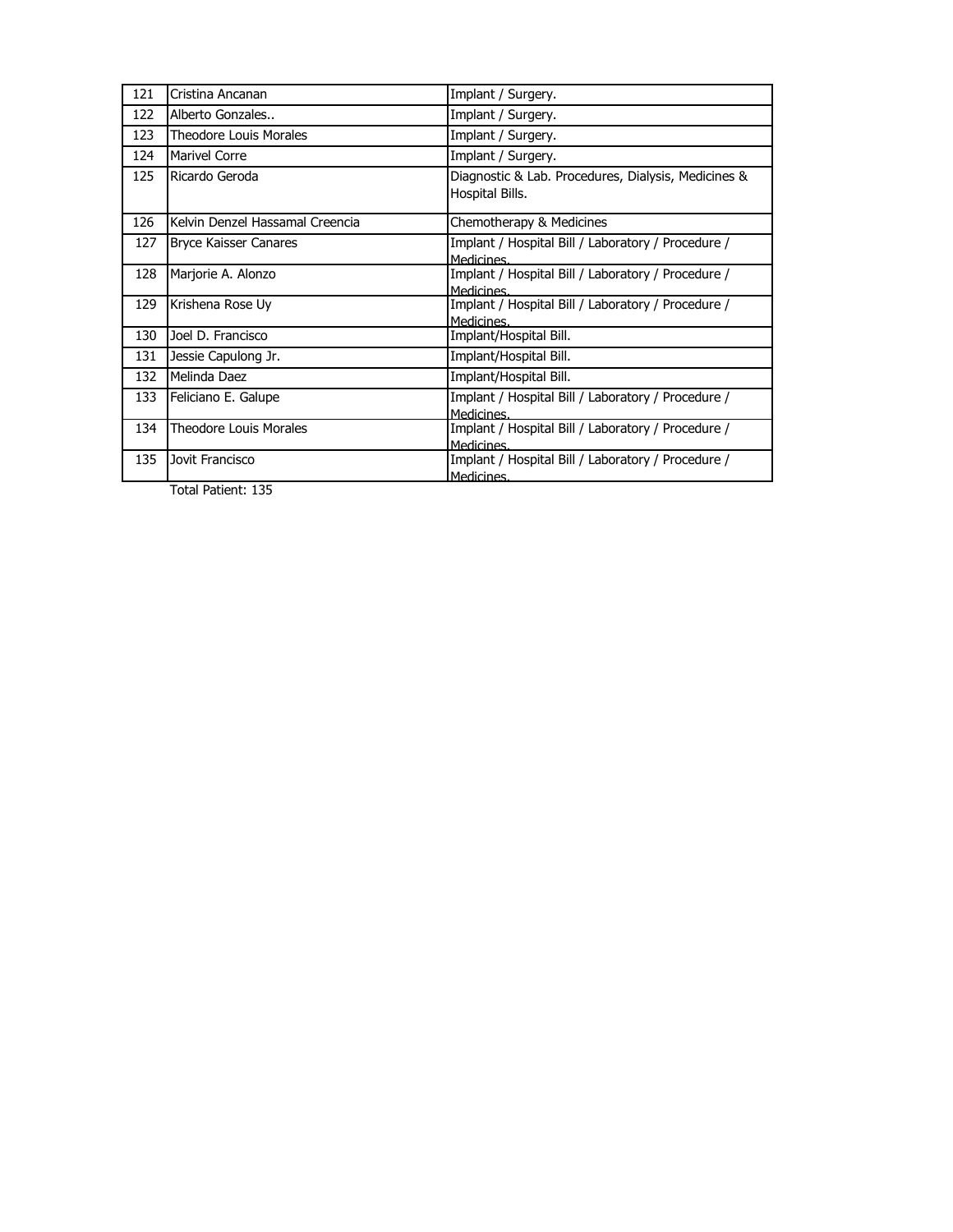| 121 | Cristina Ancanan                | Implant / Surgery.                                                     |
|-----|---------------------------------|------------------------------------------------------------------------|
| 122 | Alberto Gonzales                | Implant / Surgery.                                                     |
| 123 | <b>Theodore Louis Morales</b>   | Implant / Surgery.                                                     |
| 124 | <b>Marivel Corre</b>            | Implant / Surgery.                                                     |
| 125 | Ricardo Geroda                  | Diagnostic & Lab. Procedures, Dialysis, Medicines &<br>Hospital Bills. |
| 126 | Kelvin Denzel Hassamal Creencia | Chemotherapy & Medicines                                               |
| 127 | <b>Bryce Kaisser Canares</b>    | Implant / Hospital Bill / Laboratory / Procedure /<br>Medicines.       |
| 128 | Marjorie A. Alonzo              | Implant / Hospital Bill / Laboratory / Procedure /<br>Medicines.       |
| 129 | Krishena Rose Uy                | Implant / Hospital Bill / Laboratory / Procedure /<br>Medicines.       |
| 130 | Joel D. Francisco               | Implant/Hospital Bill.                                                 |
| 131 | Jessie Capulong Jr.             | Implant/Hospital Bill.                                                 |
| 132 | Melinda Daez                    | Implant/Hospital Bill.                                                 |
| 133 | Feliciano E. Galupe             | Implant / Hospital Bill / Laboratory / Procedure /<br>Medicines.       |
| 134 | <b>Theodore Louis Morales</b>   | Implant / Hospital Bill / Laboratory / Procedure /<br>Medicines.       |
| 135 | Jovit Francisco                 | Implant / Hospital Bill / Laboratory / Procedure /<br>Medicines.       |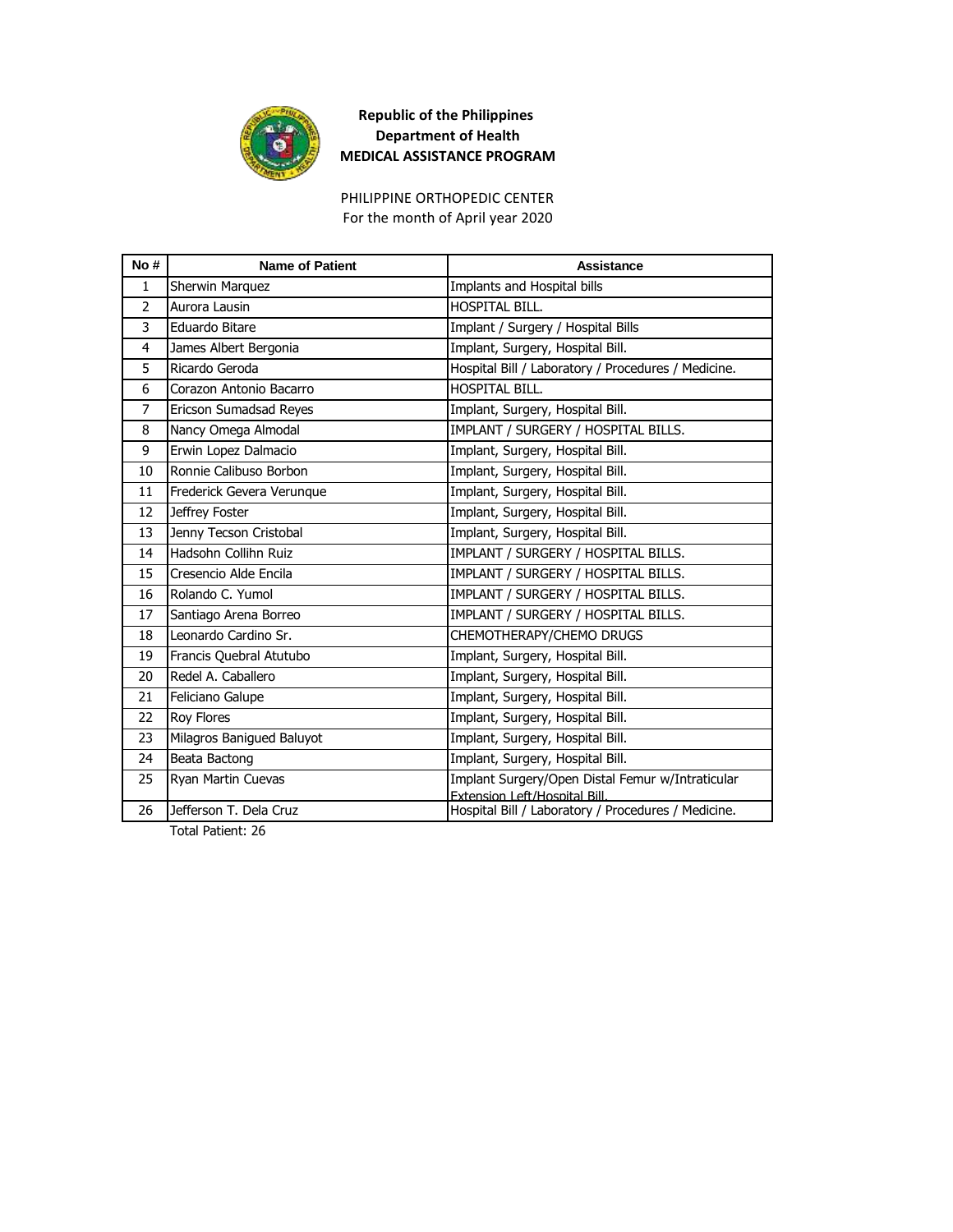

For the month of April year 2020 PHILIPPINE ORTHOPEDIC CENTER

| No #           | <b>Name of Patient</b>    | <b>Assistance</b>                                                                    |
|----------------|---------------------------|--------------------------------------------------------------------------------------|
| $\mathbf{1}$   | Sherwin Marquez           | Implants and Hospital bills                                                          |
| $\overline{2}$ | Aurora Lausin             | HOSPITAL BILL.                                                                       |
| 3              | Eduardo Bitare            | Implant / Surgery / Hospital Bills                                                   |
| 4              | James Albert Bergonia     | Implant, Surgery, Hospital Bill.                                                     |
| 5              | Ricardo Geroda            | Hospital Bill / Laboratory / Procedures / Medicine.                                  |
| 6              | Corazon Antonio Bacarro   | HOSPITAL BILL.                                                                       |
| $\overline{7}$ | Ericson Sumadsad Reyes    | Implant, Surgery, Hospital Bill.                                                     |
| 8              | Nancy Omega Almodal       | IMPLANT / SURGERY / HOSPITAL BILLS.                                                  |
| 9              | Erwin Lopez Dalmacio      | Implant, Surgery, Hospital Bill.                                                     |
| 10             | Ronnie Calibuso Borbon    | Implant, Surgery, Hospital Bill.                                                     |
| 11             | Frederick Gevera Verungue | Implant, Surgery, Hospital Bill.                                                     |
| 12             | Jeffrey Foster            | Implant, Surgery, Hospital Bill.                                                     |
| 13             | Jenny Tecson Cristobal    | Implant, Surgery, Hospital Bill.                                                     |
| 14             | Hadsohn Collihn Ruiz      | IMPLANT / SURGERY / HOSPITAL BILLS.                                                  |
| 15             | Cresencio Alde Encila     | IMPLANT / SURGERY / HOSPITAL BILLS.                                                  |
| 16             | Rolando C. Yumol          | IMPLANT / SURGERY / HOSPITAL BILLS.                                                  |
| 17             | Santiago Arena Borreo     | IMPLANT / SURGERY / HOSPITAL BILLS.                                                  |
| 18             | Leonardo Cardino Sr.      | CHEMOTHERAPY/CHEMO DRUGS                                                             |
| 19             | Francis Quebral Atutubo   | Implant, Surgery, Hospital Bill.                                                     |
| 20             | Redel A. Caballero        | Implant, Surgery, Hospital Bill.                                                     |
| 21             | Feliciano Galupe          | Implant, Surgery, Hospital Bill.                                                     |
| 22             | <b>Roy Flores</b>         | Implant, Surgery, Hospital Bill.                                                     |
| 23             | Milagros Banigued Baluyot | Implant, Surgery, Hospital Bill.                                                     |
| 24             | Beata Bactong             | Implant, Surgery, Hospital Bill.                                                     |
| 25             | Ryan Martin Cuevas        | Implant Surgery/Open Distal Femur w/Intraticular                                     |
| 26             | Jefferson T. Dela Cruz    | Extension Left/Hospital Bill.<br>Hospital Bill / Laboratory / Procedures / Medicine. |
|                |                           |                                                                                      |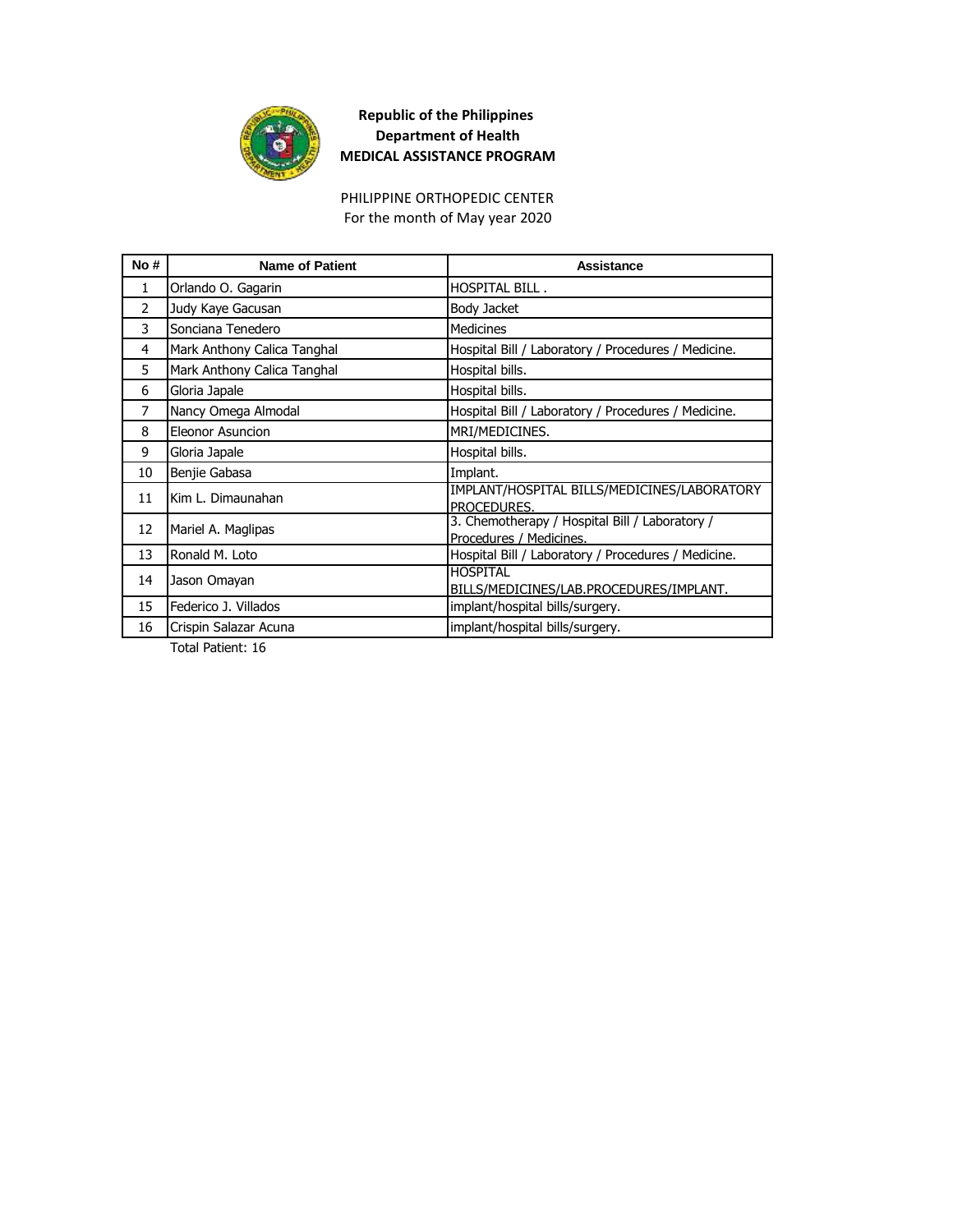

For the month of May year 2020 PHILIPPINE ORTHOPEDIC CENTER

| No#            | <b>Name of Patient</b>      | Assistance                                                                |
|----------------|-----------------------------|---------------------------------------------------------------------------|
| 1              | Orlando O. Gagarin          | HOSPITAL BILL.                                                            |
| $\overline{2}$ | Judy Kaye Gacusan           | Body Jacket                                                               |
| 3              | Sonciana Tenedero           | <b>Medicines</b>                                                          |
| 4              | Mark Anthony Calica Tanghal | Hospital Bill / Laboratory / Procedures / Medicine.                       |
| 5              | Mark Anthony Calica Tanghal | Hospital bills.                                                           |
| 6              | Gloria Japale               | Hospital bills.                                                           |
| $\overline{7}$ | Nancy Omega Almodal         | Hospital Bill / Laboratory / Procedures / Medicine.                       |
| 8              | <b>Eleonor Asuncion</b>     | MRI/MEDICINES.                                                            |
| 9              | Gloria Japale               | Hospital bills.                                                           |
| 10             | Benjie Gabasa               | Implant.                                                                  |
| 11             | Kim L. Dimaunahan           | IMPLANT/HOSPITAL BILLS/MEDICINES/LABORATORY<br>PROCEDURES.                |
| 12             | Mariel A. Maglipas          | 3. Chemotherapy / Hospital Bill / Laboratory /<br>Procedures / Medicines. |
| 13             | Ronald M. Loto              | Hospital Bill / Laboratory / Procedures / Medicine.                       |
| 14             | Jason Omayan                | <b>HOSPITAL</b><br>BILLS/MEDICINES/LAB.PROCEDURES/IMPLANT.                |
| 15             | Federico J. Villados        | implant/hospital bills/surgery.                                           |
| 16             | Crispin Salazar Acuna       | implant/hospital bills/surgery.                                           |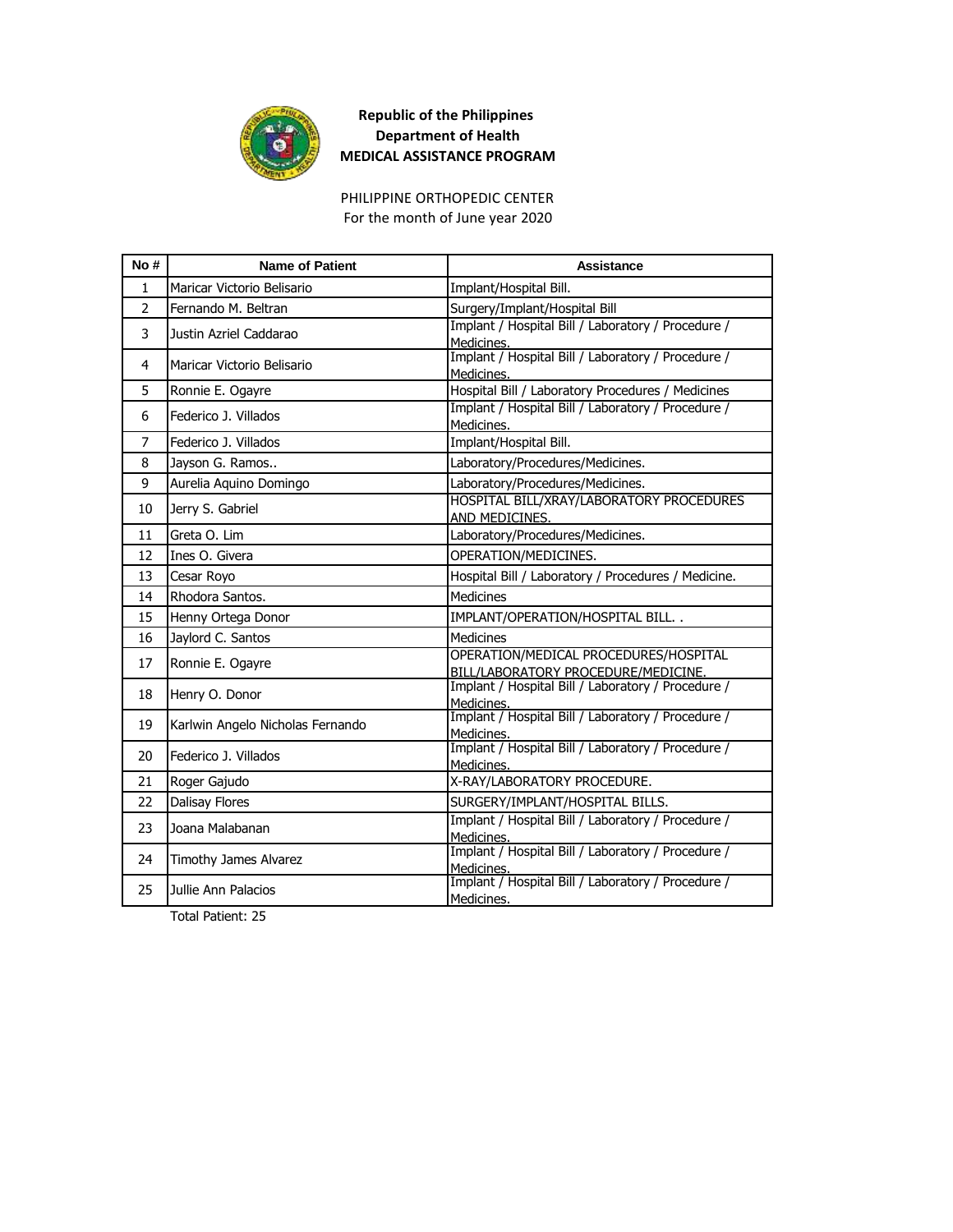

PHILIPPINE ORTHOPEDIC CENTER For the month of June year 2020

| No#           | <b>Name of Patient</b>           | Assistance                                                                   |
|---------------|----------------------------------|------------------------------------------------------------------------------|
| $\mathbf{1}$  | Maricar Victorio Belisario       | Implant/Hospital Bill.                                                       |
| $\mathcal{P}$ | Fernando M. Beltran              | Surgery/Implant/Hospital Bill                                                |
| 3             | Justin Azriel Caddarao           | Implant / Hospital Bill / Laboratory / Procedure /<br>Medicines.             |
| 4             | Maricar Victorio Belisario       | Implant / Hospital Bill / Laboratory / Procedure /<br>Medicines.             |
| 5             | Ronnie E. Ogayre                 | Hospital Bill / Laboratory Procedures / Medicines                            |
| 6             | Federico J. Villados             | Implant / Hospital Bill / Laboratory / Procedure /<br>Medicines.             |
| 7             | Federico J. Villados             | Implant/Hospital Bill.                                                       |
| 8             | Jayson G. Ramos                  | Laboratory/Procedures/Medicines.                                             |
| 9             | Aurelia Aguino Domingo           | Laboratory/Procedures/Medicines.                                             |
| 10            | Jerry S. Gabriel                 | HOSPITAL BILL/XRAY/LABORATORY PROCEDURES<br>AND MEDICINES.                   |
| 11            | Greta O. Lim                     | Laboratory/Procedures/Medicines.                                             |
| 12            | Ines O. Givera                   | OPERATION/MEDICINES.                                                         |
| 13            | Cesar Royo                       | Hospital Bill / Laboratory / Procedures / Medicine.                          |
| 14            | Rhodora Santos.                  | <b>Medicines</b>                                                             |
| 15            | Henny Ortega Donor               | IMPLANT/OPERATION/HOSPITAL BILL                                              |
| 16            | Jaylord C. Santos                | <b>Medicines</b>                                                             |
| 17            | Ronnie E. Ogayre                 | OPERATION/MEDICAL PROCEDURES/HOSPITAL<br>BILL/LABORATORY PROCEDURE/MEDICINE. |
| 18            | Henry O. Donor                   | Implant / Hospital Bill / Laboratory / Procedure /<br>Medicines.             |
| 19            | Karlwin Angelo Nicholas Fernando | Implant / Hospital Bill / Laboratory / Procedure /<br>Medicines.             |
| 20            | Federico J. Villados             | Implant / Hospital Bill / Laboratory / Procedure /<br>Medicines.             |
| 21            | Roger Gajudo                     | X-RAY/LABORATORY PROCEDURE.                                                  |
| 22            | Dalisay Flores                   | SURGERY/IMPLANT/HOSPITAL BILLS.                                              |
| 23            | Joana Malabanan                  | Implant / Hospital Bill / Laboratory / Procedure /<br>Medicines.             |
| 24            | Timothy James Alvarez            | Implant / Hospital Bill / Laboratory / Procedure /<br>Medicines.             |
| 25            | Jullie Ann Palacios              | Implant / Hospital Bill / Laboratory / Procedure /<br>Medicines.             |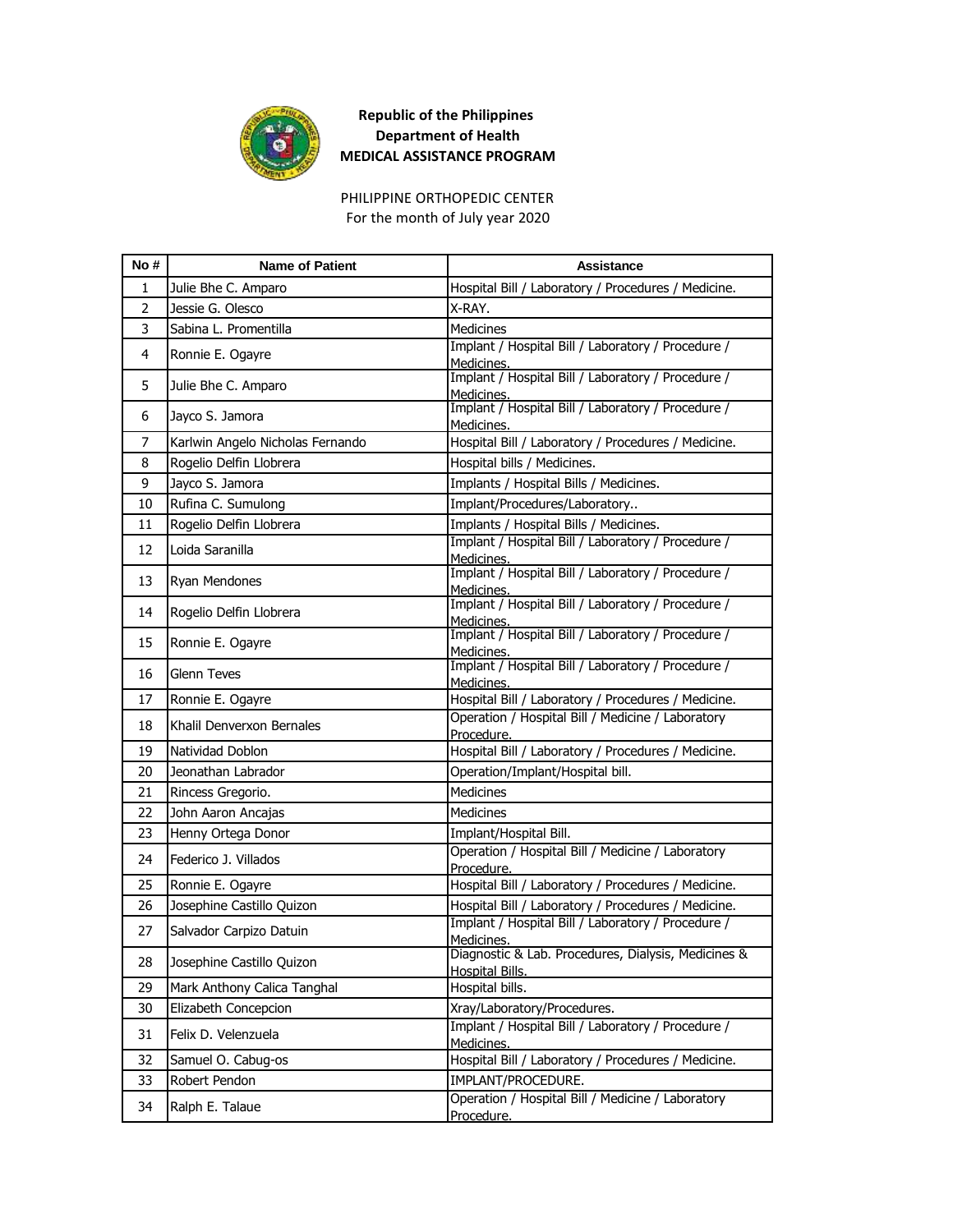

PHILIPPINE ORTHOPEDIC CENTER For the month of July year 2020

| No#            | <b>Name of Patient</b>           | <b>Assistance</b>                                                                    |
|----------------|----------------------------------|--------------------------------------------------------------------------------------|
| 1              | Julie Bhe C. Amparo              | Hospital Bill / Laboratory / Procedures / Medicine.                                  |
| $\overline{2}$ | Jessie G. Olesco                 | X-RAY.                                                                               |
| 3              | Sabina L. Promentilla            | <b>Medicines</b>                                                                     |
| 4              | Ronnie E. Ogayre                 | Implant / Hospital Bill / Laboratory / Procedure /<br>Medicines.                     |
| 5              | Julie Bhe C. Amparo              | Implant / Hospital Bill / Laboratory / Procedure /<br>Medicines.                     |
| 6              | Jayco S. Jamora                  | Implant / Hospital Bill / Laboratory / Procedure /<br>Medicines.                     |
| 7              | Karlwin Angelo Nicholas Fernando | Hospital Bill / Laboratory / Procedures / Medicine.                                  |
| 8              | Rogelio Delfin Llobrera          | Hospital bills / Medicines.                                                          |
| 9              | Jayco S. Jamora                  | Implants / Hospital Bills / Medicines.                                               |
| 10             | Rufina C. Sumulong               | Implant/Procedures/Laboratory                                                        |
| 11             | Rogelio Delfin Llobrera          | Implants / Hospital Bills / Medicines.                                               |
| 12             | Loida Saranilla                  | Implant / Hospital Bill / Laboratory / Procedure /<br>Medicines.                     |
| 13             | Ryan Mendones                    | Implant / Hospital Bill / Laboratory / Procedure /<br>Medicines.                     |
| 14             | Rogelio Delfin Llobrera          | Implant / Hospital Bill / Laboratory / Procedure /<br>Medicines.                     |
| 15             | Ronnie E. Ogayre                 | Implant / Hospital Bill / Laboratory / Procedure /<br>Medicines.                     |
| 16             | <b>Glenn Teves</b>               | Implant / Hospital Bill / Laboratory / Procedure /<br>Medicines.                     |
| 17             | Ronnie E. Ogayre                 | Hospital Bill / Laboratory / Procedures / Medicine.                                  |
| 18             | Khalil Denverxon Bernales        | Operation / Hospital Bill / Medicine / Laboratory<br>Procedure.                      |
| 19             | Natividad Doblon                 | Hospital Bill / Laboratory / Procedures / Medicine.                                  |
| 20             | Jeonathan Labrador               | Operation/Implant/Hospital bill.                                                     |
| 21             | Rincess Gregorio.                | <b>Medicines</b>                                                                     |
| 22             | John Aaron Ancajas               | <b>Medicines</b>                                                                     |
| 23             | Henny Ortega Donor               | Implant/Hospital Bill.                                                               |
| 24             | Federico J. Villados             | Operation / Hospital Bill / Medicine / Laboratory<br>Procedure.                      |
| 25             | Ronnie E. Ogayre                 | Hospital Bill / Laboratory / Procedures / Medicine.                                  |
| 26             | Josephine Castillo Quizon        | Hospital Bill / Laboratory / Procedures / Medicine.                                  |
| 27             | Salvador Carpizo Datuin          | Implant / Hospital Bill / Laboratory / Procedure /                                   |
| 28             | Josephine Castillo Quizon        | Medicines.<br>Diagnostic & Lab. Procedures, Dialysis, Medicines &<br>Hospital Bills. |
| 29             | Mark Anthony Calica Tanghal      | Hospital bills.                                                                      |
| 30             | Elizabeth Concepcion             | Xray/Laboratory/Procedures.                                                          |
| 31             | Felix D. Velenzuela              | Implant / Hospital Bill / Laboratory / Procedure /<br>Medicines.                     |
| 32             | Samuel O. Cabug-os               | Hospital Bill / Laboratory / Procedures / Medicine.                                  |
| 33             | Robert Pendon                    | IMPLANT/PROCEDURE.                                                                   |
| 34             | Ralph E. Talaue                  | Operation / Hospital Bill / Medicine / Laboratory<br>Procedure.                      |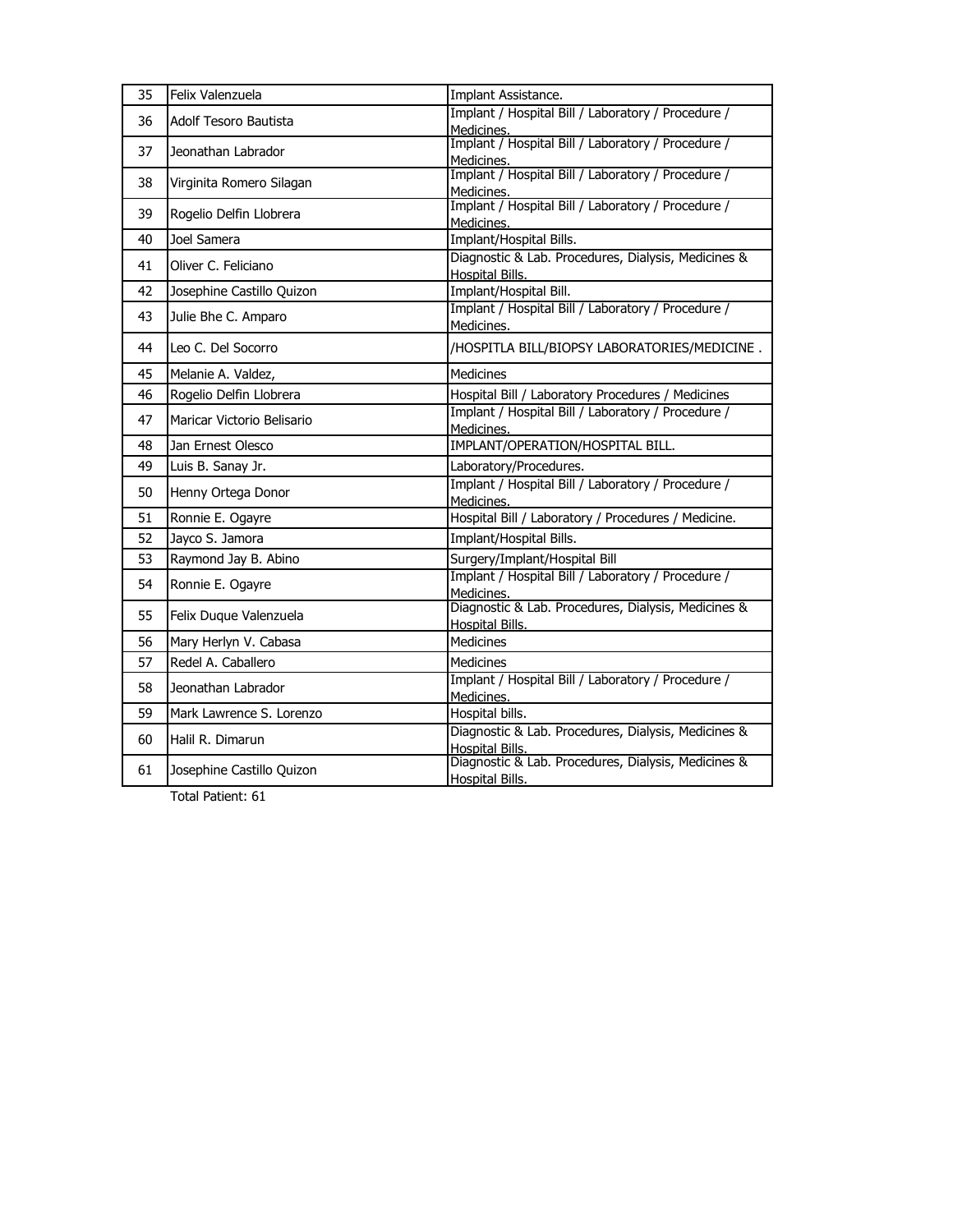| 35 | Felix Valenzuela             | Implant Assistance.                                                           |
|----|------------------------------|-------------------------------------------------------------------------------|
| 36 | <b>Adolf Tesoro Bautista</b> | Implant / Hospital Bill / Laboratory / Procedure /<br>Medicines.              |
| 37 | Jeonathan Labrador           | Implant / Hospital Bill / Laboratory / Procedure /<br>Medicines.              |
| 38 | Virginita Romero Silagan     | Implant / Hospital Bill / Laboratory / Procedure /<br>Medicines.              |
| 39 | Rogelio Delfin Llobrera      | Implant / Hospital Bill / Laboratory / Procedure /<br>Medicines.              |
| 40 | Joel Samera                  | Implant/Hospital Bills.                                                       |
| 41 | Oliver C. Feliciano          | Diagnostic & Lab. Procedures, Dialysis, Medicines &<br>Hospital Bills.        |
| 42 | Josephine Castillo Quizon    | Implant/Hospital Bill.                                                        |
| 43 | Julie Bhe C. Amparo          | Implant / Hospital Bill / Laboratory / Procedure /<br>Medicines.              |
| 44 | Leo C. Del Socorro           | /HOSPITLA BILL/BIOPSY LABORATORIES/MEDICINE.                                  |
| 45 | Melanie A. Valdez,           | Medicines                                                                     |
| 46 | Rogelio Delfin Llobrera      | Hospital Bill / Laboratory Procedures / Medicines                             |
| 47 | Maricar Victorio Belisario   | Implant / Hospital Bill / Laboratory / Procedure /<br>Medicines.              |
| 48 | Jan Ernest Olesco            | IMPLANT/OPERATION/HOSPITAL BILL.                                              |
| 49 | Luis B. Sanay Jr.            | Laboratory/Procedures.                                                        |
| 50 | Henny Ortega Donor           | Implant / Hospital Bill / Laboratory / Procedure /<br>Medicines.              |
| 51 | Ronnie E. Ogayre             | Hospital Bill / Laboratory / Procedures / Medicine.                           |
| 52 | Jayco S. Jamora              | Implant/Hospital Bills.                                                       |
| 53 | Raymond Jay B. Abino         | Surgery/Implant/Hospital Bill                                                 |
| 54 | Ronnie E. Ogayre             | Implant / Hospital Bill / Laboratory / Procedure /<br>Medicines.              |
| 55 | Felix Duque Valenzuela       | Diagnostic & Lab. Procedures, Dialysis, Medicines &<br>Hospital Bills.        |
| 56 | Mary Herlyn V. Cabasa        | Medicines                                                                     |
| 57 | Redel A. Caballero           | Medicines                                                                     |
| 58 | Jeonathan Labrador           | Implant / Hospital Bill / Laboratory / Procedure /<br>Medicines.              |
| 59 | Mark Lawrence S. Lorenzo     | Hospital bills.                                                               |
| 60 | Halil R. Dimarun             | Diagnostic & Lab. Procedures, Dialysis, Medicines &<br>Hospital Bills.        |
| 61 | Josephine Castillo Quizon    | Diagnostic & Lab. Procedures, Dialysis, Medicines &<br><b>Hospital Bills.</b> |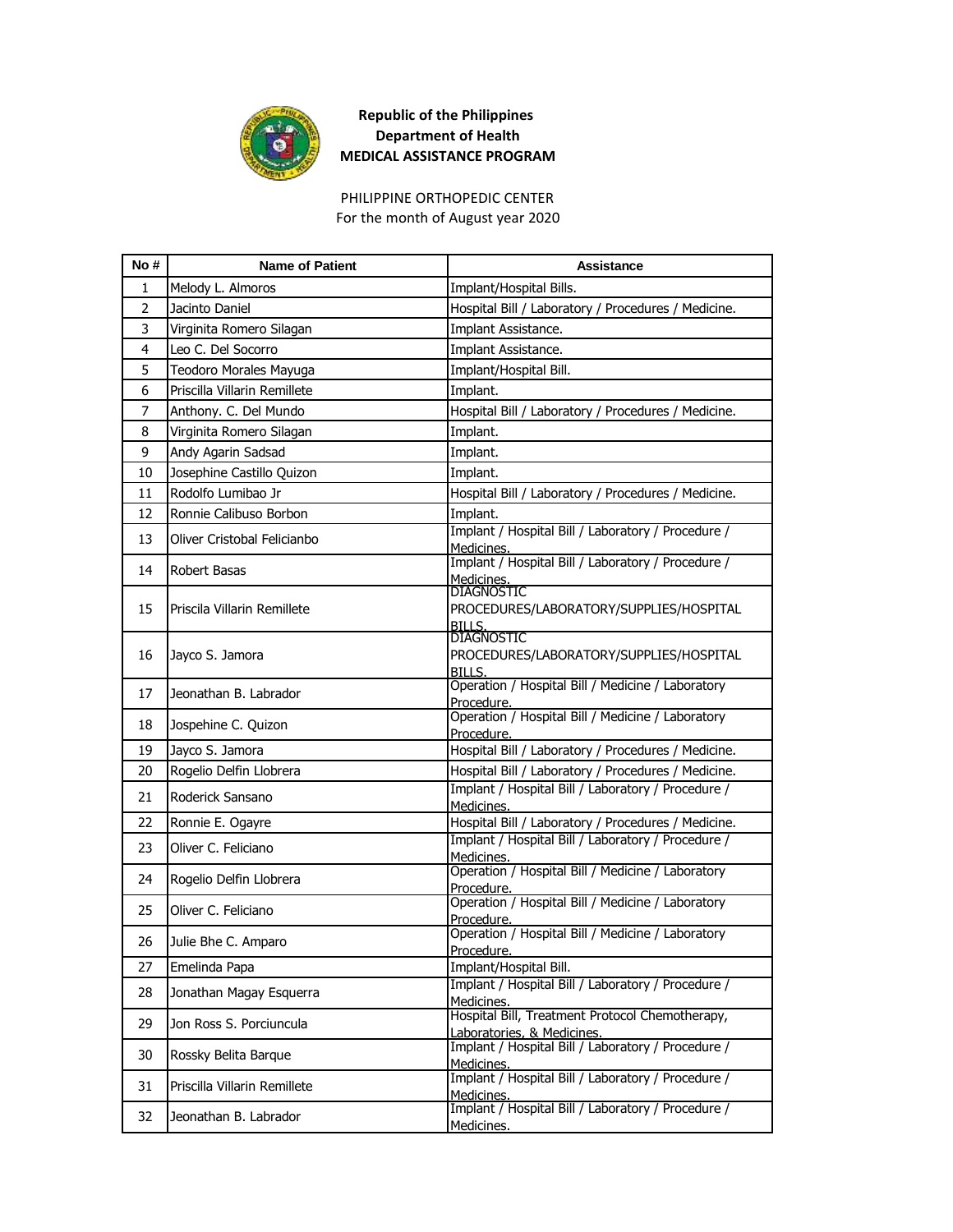

PHILIPPINE ORTHOPEDIC CENTER For the month of August year 2020

| No #           | <b>Name of Patient</b>       | <b>Assistance</b>                                                             |
|----------------|------------------------------|-------------------------------------------------------------------------------|
| 1              | Melody L. Almoros            | Implant/Hospital Bills.                                                       |
| $\overline{2}$ | Jacinto Daniel               | Hospital Bill / Laboratory / Procedures / Medicine.                           |
| 3              | Virginita Romero Silagan     | Implant Assistance.                                                           |
| 4              | Leo C. Del Socorro           | Implant Assistance.                                                           |
| 5              | Teodoro Morales Mayuga       | Implant/Hospital Bill.                                                        |
| 6              | Priscilla Villarin Remillete | Implant.                                                                      |
| 7              | Anthony. C. Del Mundo        | Hospital Bill / Laboratory / Procedures / Medicine.                           |
| 8              | Virginita Romero Silagan     | Implant.                                                                      |
| 9              | Andy Agarin Sadsad           | Implant.                                                                      |
| 10             | Josephine Castillo Quizon    | Implant.                                                                      |
| 11             | Rodolfo Lumibao Jr           | Hospital Bill / Laboratory / Procedures / Medicine.                           |
| 12             | Ronnie Calibuso Borbon       | Implant.                                                                      |
| 13             | Oliver Cristobal Felicianbo  | Implant / Hospital Bill / Laboratory / Procedure /<br>Medicines.              |
| 14             | Robert Basas                 | Implant / Hospital Bill / Laboratory / Procedure /<br>Medicines.              |
| 15             | Priscila Villarin Remillete  | <b>DIAGNOSTIC</b><br>PROCEDURES/LABORATORY/SUPPLIES/HOSPITAL<br><b>BILLS.</b> |
| 16             | Jayco S. Jamora              | <b>DIAGNOSTIC</b><br>PROCEDURES/LABORATORY/SUPPLIES/HOSPITAL<br><b>BILLS.</b> |
| 17             | Jeonathan B. Labrador        | Operation / Hospital Bill / Medicine / Laboratory<br>Procedure.               |
| 18             | Jospehine C. Quizon          | Operation / Hospital Bill / Medicine / Laboratory<br>Procedure.               |
| 19             | Jayco S. Jamora              | Hospital Bill / Laboratory / Procedures / Medicine.                           |
| 20             | Rogelio Delfin Llobrera      | Hospital Bill / Laboratory / Procedures / Medicine.                           |
| 21             | Roderick Sansano             | Implant / Hospital Bill / Laboratory / Procedure /<br>Medicines.              |
| 22             | Ronnie E. Ogayre             | Hospital Bill / Laboratory / Procedures / Medicine.                           |
| 23             | Oliver C. Feliciano          | Implant / Hospital Bill / Laboratory / Procedure /<br>Medicines.              |
| 24             | Rogelio Delfin Llobrera      | Operation / Hospital Bill / Medicine / Laboratory<br>Procedure.               |
| 25             | Oliver C. Feliciano          | Operation / Hospital Bill / Medicine / Laboratory<br>Procedure.               |
| 26             | Julie Bhe C. Amparo          | Operation / Hospital Bill / Medicine / Laboratory<br>Procedure                |
| 27             | Emelinda Papa                | Implant/Hospital Bill.                                                        |
| 28             | Jonathan Magay Esquerra      | Implant / Hospital Bill / Laboratory / Procedure /<br>Medicines.              |
| 29             | Jon Ross S. Porciuncula      | Hospital Bill, Treatment Protocol Chemotherapy,<br>Laboratories, & Medicines. |
| 30             | Rossky Belita Barque         | Implant / Hospital Bill / Laboratory / Procedure /<br>Medicines.              |
| 31             | Priscilla Villarin Remillete | Implant / Hospital Bill / Laboratory / Procedure /<br>Medicines.              |
| 32             | Jeonathan B. Labrador        | Implant / Hospital Bill / Laboratory / Procedure /<br>Medicines.              |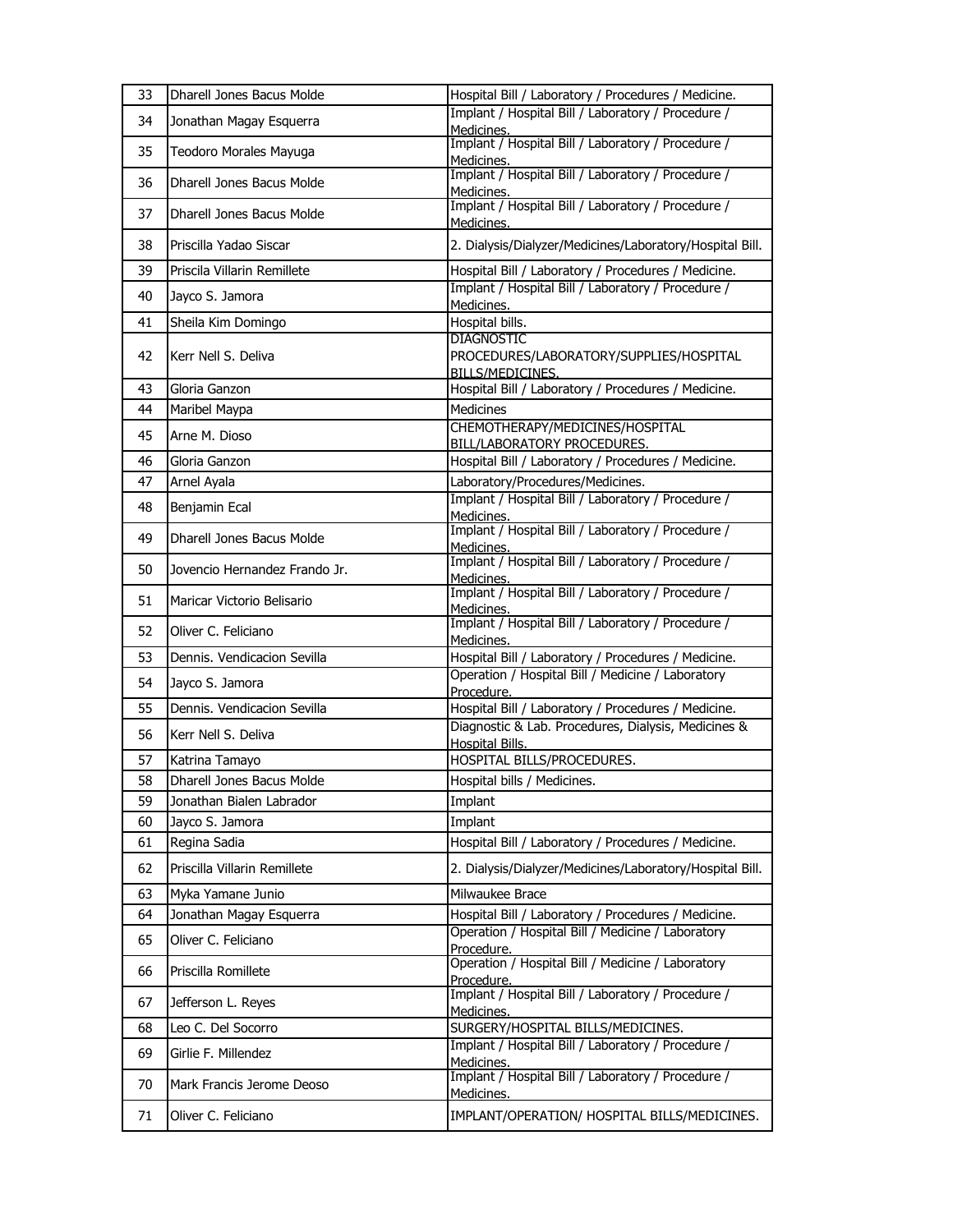| 33 | Dharell Jones Bacus Molde        | Hospital Bill / Laboratory / Procedures / Medicine.                                     |
|----|----------------------------------|-----------------------------------------------------------------------------------------|
| 34 | Jonathan Magay Esquerra          | Implant / Hospital Bill / Laboratory / Procedure /<br>Medicines.                        |
| 35 | Teodoro Morales Mayuga           | Implant / Hospital Bill / Laboratory / Procedure /<br>Medicines.                        |
| 36 | Dharell Jones Bacus Molde        | Implant / Hospital Bill / Laboratory / Procedure /<br>Medicines.                        |
| 37 | Dharell Jones Bacus Molde        | Implant / Hospital Bill / Laboratory / Procedure /<br>Medicines.                        |
| 38 | Priscilla Yadao Siscar           | 2. Dialysis/Dialyzer/Medicines/Laboratory/Hospital Bill.                                |
| 39 | Priscila Villarin Remillete      | Hospital Bill / Laboratory / Procedures / Medicine.                                     |
| 40 | Jayco S. Jamora                  | Implant / Hospital Bill / Laboratory / Procedure /<br>Medicines.                        |
| 41 | Sheila Kim Domingo               | Hospital bills.                                                                         |
| 42 | Kerr Nell S. Deliva              | <b>DIAGNOSTIC</b><br>PROCEDURES/LABORATORY/SUPPLIES/HOSPITAL<br><b>BILLS/MEDICINES.</b> |
| 43 | Gloria Ganzon                    | Hospital Bill / Laboratory / Procedures / Medicine.                                     |
| 44 | Maribel Maypa                    | <b>Medicines</b>                                                                        |
| 45 | Arne M. Dioso                    | CHEMOTHERAPY/MEDICINES/HOSPITAL<br>BILL/LABORATORY PROCEDURES.                          |
| 46 | Gloria Ganzon                    | Hospital Bill / Laboratory / Procedures / Medicine.                                     |
| 47 | Arnel Ayala                      | Laboratory/Procedures/Medicines.                                                        |
| 48 | Benjamin Ecal                    | Implant / Hospital Bill / Laboratory / Procedure /<br>Medicines.                        |
| 49 | <b>Dharell Jones Bacus Molde</b> | Implant / Hospital Bill / Laboratory / Procedure /<br>Medicines.                        |
| 50 | Jovencio Hernandez Frando Jr.    | Implant / Hospital Bill / Laboratory / Procedure /<br>Medicines.                        |
| 51 | Maricar Victorio Belisario       | Implant / Hospital Bill / Laboratory / Procedure /<br>Medicines.                        |
| 52 | Oliver C. Feliciano              | Implant / Hospital Bill / Laboratory / Procedure /<br>Medicines.                        |
| 53 | Dennis, Vendicacion Sevilla      | Hospital Bill / Laboratory / Procedures / Medicine.                                     |
| 54 | Jayco S. Jamora                  | Operation / Hospital Bill / Medicine / Laboratory<br>Procedure.                         |
| 55 | Dennis. Vendicacion Sevilla      | Hospital Bill / Laboratory / Procedures / Medicine.                                     |
| 56 | Kerr Nell S. Deliva              | Diagnostic & Lab. Procedures, Dialysis, Medicines &<br>Hospital Bills.                  |
| 57 | Katrina Tamayo                   | HOSPITAL BILLS/PROCEDURES.                                                              |
| 58 | Dharell Jones Bacus Molde        | Hospital bills / Medicines.                                                             |
| 59 | Jonathan Bialen Labrador         | Implant                                                                                 |
| 60 | Jayco S. Jamora                  | Implant                                                                                 |
| 61 | Regina Sadia                     | Hospital Bill / Laboratory / Procedures / Medicine.                                     |
| 62 | Priscilla Villarin Remillete     | 2. Dialysis/Dialyzer/Medicines/Laboratory/Hospital Bill.                                |
| 63 | Myka Yamane Junio                | Milwaukee Brace                                                                         |
| 64 | Jonathan Magay Esquerra          | Hospital Bill / Laboratory / Procedures / Medicine.                                     |
| 65 | Oliver C. Feliciano              | Operation / Hospital Bill / Medicine / Laboratory<br>Procedure.                         |
| 66 | Priscilla Romillete              | Operation / Hospital Bill / Medicine / Laboratory<br>Procedure.                         |
| 67 | Jefferson L. Reyes               | Implant / Hospital Bill / Laboratory / Procedure /<br>Medicines.                        |
| 68 | Leo C. Del Socorro               | SURGERY/HOSPITAL BILLS/MEDICINES.                                                       |
| 69 | Girlie F. Millendez              | Implant / Hospital Bill / Laboratory / Procedure /<br>Medicines.                        |
| 70 | Mark Francis Jerome Deoso        | Implant / Hospital Bill / Laboratory / Procedure /<br>Medicines.                        |
| 71 | Oliver C. Feliciano              | IMPLANT/OPERATION/ HOSPITAL BILLS/MEDICINES.                                            |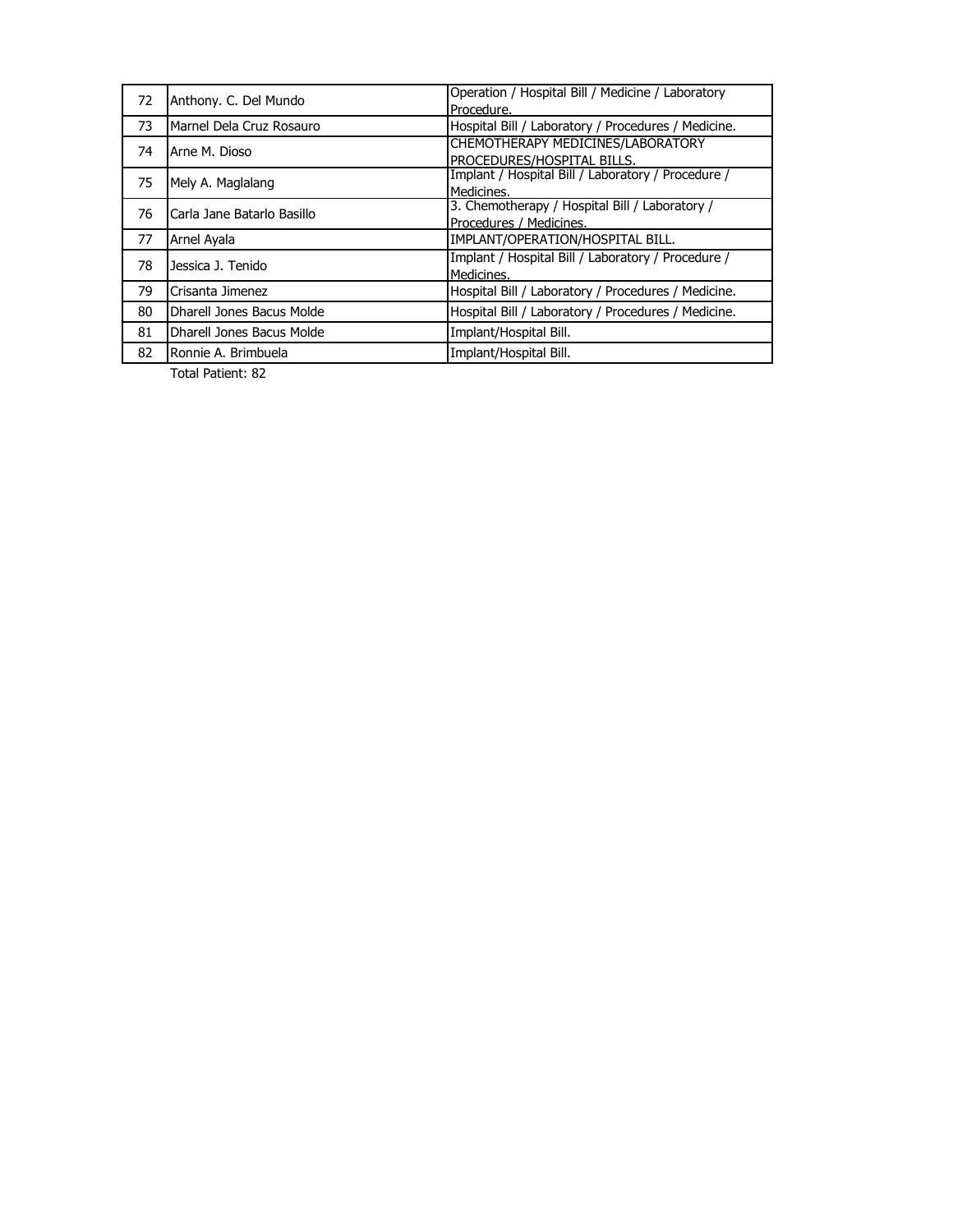| Anthony. C. Del Mundo<br>72 | Operation / Hospital Bill / Medicine / Laboratory |                                                     |
|-----------------------------|---------------------------------------------------|-----------------------------------------------------|
|                             |                                                   | Procedure.                                          |
| 73                          | Marnel Dela Cruz Rosauro                          | Hospital Bill / Laboratory / Procedures / Medicine. |
| 74                          | Arne M. Dioso                                     | CHEMOTHERAPY MEDICINES/LABORATORY                   |
|                             |                                                   | PROCEDURES/HOSPITAL BILLS.                          |
|                             | 75<br>Mely A. Maglalang                           | Implant / Hospital Bill / Laboratory / Procedure /  |
|                             |                                                   | Medicines.                                          |
| 76                          | Carla Jane Batarlo Basillo                        | 3. Chemotherapy / Hospital Bill / Laboratory /      |
|                             |                                                   | Procedures / Medicines.                             |
| 77                          | Arnel Ayala                                       | IMPLANT/OPERATION/HOSPITAL BILL.                    |
| 78                          | Jessica J. Tenido                                 | Implant / Hospital Bill / Laboratory / Procedure /  |
|                             |                                                   | Medicines.                                          |
| 79                          | Crisanta Jimenez                                  | Hospital Bill / Laboratory / Procedures / Medicine. |
| 80                          | Dharell Jones Bacus Molde                         | Hospital Bill / Laboratory / Procedures / Medicine. |
| 81                          | Dharell Jones Bacus Molde                         | Implant/Hospital Bill.                              |
| 82                          | Ronnie A. Brimbuela                               | Implant/Hospital Bill.                              |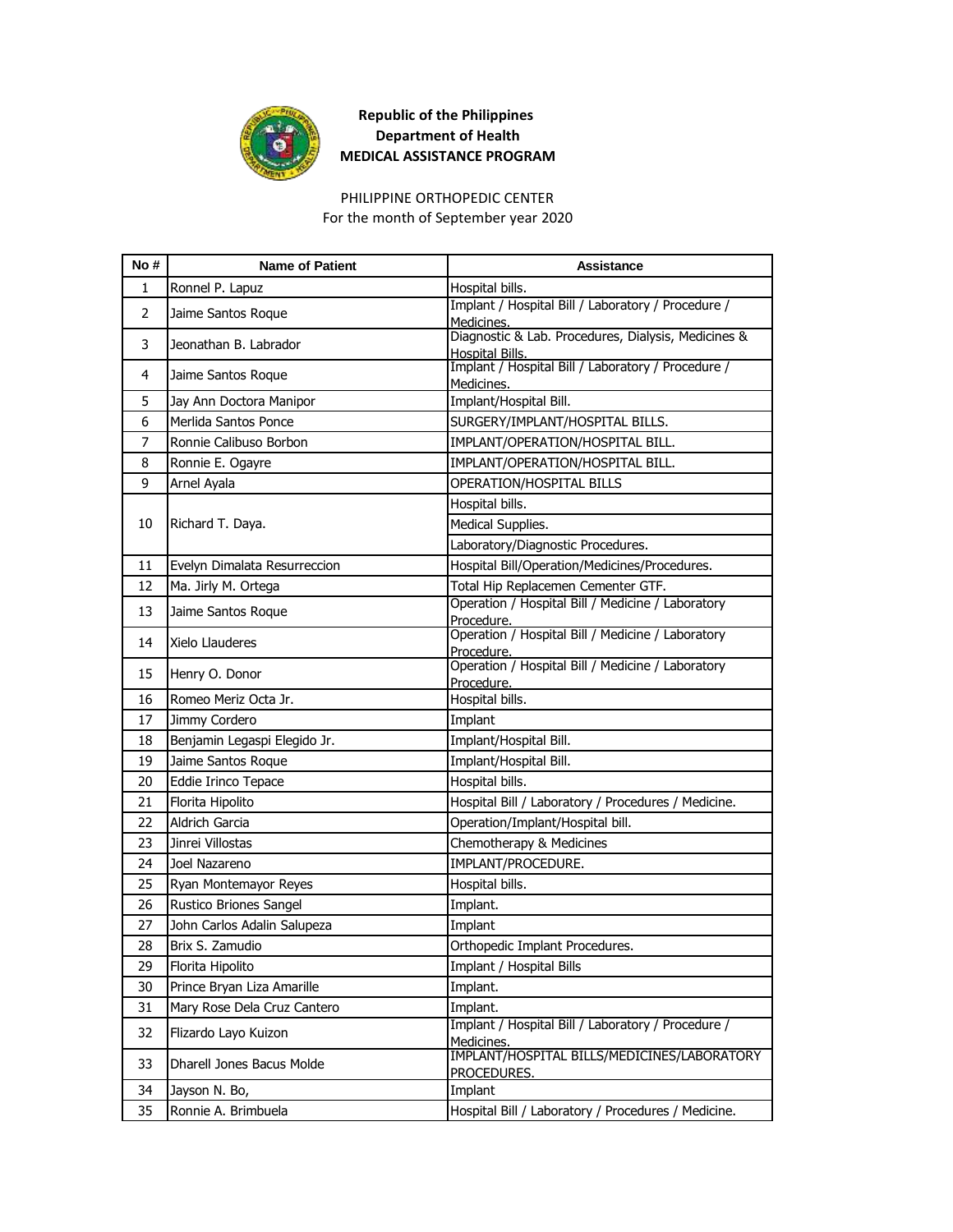

# PHILIPPINE ORTHOPEDIC CENTER

For the month of September year 2020

| No#            | <b>Name of Patient</b>       | <b>Assistance</b>                                                      |
|----------------|------------------------------|------------------------------------------------------------------------|
| 1              | Ronnel P. Lapuz              | Hospital bills.                                                        |
| $\overline{2}$ | Jaime Santos Roque           | Implant / Hospital Bill / Laboratory / Procedure /<br>Medicines.       |
| 3              | Jeonathan B. Labrador        | Diagnostic & Lab. Procedures, Dialysis, Medicines &<br>Hospital Bills. |
| 4              | Jaime Santos Roque           | Implant / Hospital Bill / Laboratory / Procedure /<br>Medicines.       |
| 5              | Jay Ann Doctora Manipor      | Implant/Hospital Bill.                                                 |
| 6              | Merlida Santos Ponce         | SURGERY/IMPLANT/HOSPITAL BILLS.                                        |
| 7              | Ronnie Calibuso Borbon       | IMPLANT/OPERATION/HOSPITAL BILL.                                       |
| 8              | Ronnie E. Ogayre             | IMPLANT/OPERATION/HOSPITAL BILL.                                       |
| 9              | Arnel Ayala                  | OPERATION/HOSPITAL BILLS                                               |
|                |                              | Hospital bills.                                                        |
| 10             | Richard T. Daya.             | Medical Supplies.                                                      |
|                |                              | Laboratory/Diagnostic Procedures.                                      |
| 11             | Evelyn Dimalata Resurreccion | Hospital Bill/Operation/Medicines/Procedures.                          |
| 12             | Ma. Jirly M. Ortega          | Total Hip Replacemen Cementer GTF.                                     |
| 13             | Jaime Santos Roque           | Operation / Hospital Bill / Medicine / Laboratory                      |
|                |                              | Procedure.<br>Operation / Hospital Bill / Medicine / Laboratory        |
| 14             | Xielo Llauderes              | Procedure.                                                             |
| 15             | Henry O. Donor               | Operation / Hospital Bill / Medicine / Laboratory<br>Procedure.        |
| 16             | Romeo Meriz Octa Jr.         | Hospital bills.                                                        |
| 17             | Jimmy Cordero                | Implant                                                                |
| 18             | Benjamin Legaspi Elegido Jr. | Implant/Hospital Bill.                                                 |
| 19             | Jaime Santos Roque           | Implant/Hospital Bill.                                                 |
| 20             | Eddie Irinco Tepace          | Hospital bills.                                                        |
| 21             | Florita Hipolito             | Hospital Bill / Laboratory / Procedures / Medicine.                    |
| 22             | <b>Aldrich Garcia</b>        | Operation/Implant/Hospital bill.                                       |
| 23             | Jinrei Villostas             | Chemotherapy & Medicines                                               |
| 24             | Joel Nazareno                | IMPLANT/PROCEDURE.                                                     |
| 25             | Ryan Montemayor Reyes        | Hospital bills.                                                        |
| 26             | Rustico Briones Sangel       | Implant.                                                               |
| 27             | John Carlos Adalin Salupeza  | Implant                                                                |
| 28             | Brix S. Zamudio              | Orthopedic Implant Procedures.                                         |
| 29             | Florita Hipolito             | Implant / Hospital Bills                                               |
| 30             | Prince Bryan Liza Amarille   | Implant.                                                               |
| 31             | Mary Rose Dela Cruz Cantero  | Implant.                                                               |
| 32             | Flizardo Layo Kuizon         | Implant / Hospital Bill / Laboratory / Procedure /<br>Medicines.       |
| 33             | Dharell Jones Bacus Molde    | IMPLANT/HOSPITAL BILLS/MEDICINES/LABORATORY<br>PROCEDURES.             |
| 34             | Jayson N. Bo,                | Implant                                                                |
| 35             | Ronnie A. Brimbuela          | Hospital Bill / Laboratory / Procedures / Medicine.                    |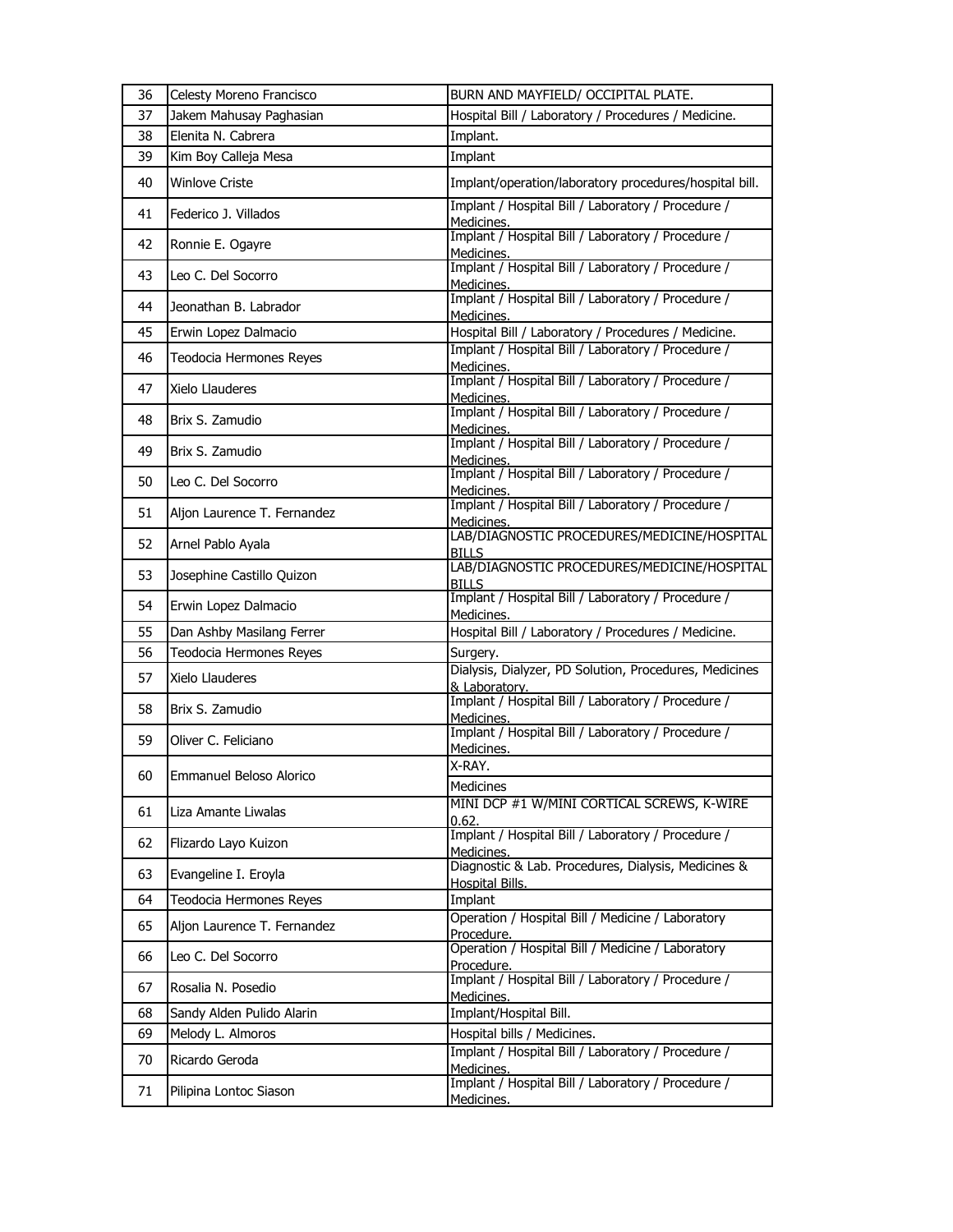| 36 | Celesty Moreno Francisco    | BURN AND MAYFIELD/ OCCIPITAL PLATE.                                     |
|----|-----------------------------|-------------------------------------------------------------------------|
| 37 | Jakem Mahusay Paghasian     | Hospital Bill / Laboratory / Procedures / Medicine.                     |
| 38 | Elenita N. Cabrera          | Implant.                                                                |
| 39 | Kim Boy Calleja Mesa        | Implant                                                                 |
| 40 | <b>Winlove Criste</b>       | Implant/operation/laboratory procedures/hospital bill.                  |
| 41 | Federico J. Villados        | Implant / Hospital Bill / Laboratory / Procedure /<br>Medicines.        |
| 42 | Ronnie E. Ogayre            | Implant / Hospital Bill / Laboratory / Procedure /<br>Medicines.        |
| 43 | Leo C. Del Socorro          | Implant / Hospital Bill / Laboratory / Procedure /<br>Medicines.        |
| 44 | Jeonathan B. Labrador       | Implant / Hospital Bill / Laboratory / Procedure /<br>Medicines.        |
| 45 | Erwin Lopez Dalmacio        | Hospital Bill / Laboratory / Procedures / Medicine.                     |
| 46 | Teodocia Hermones Reyes     | Implant / Hospital Bill / Laboratory / Procedure /<br>Medicines.        |
| 47 | Xielo Llauderes             | Implant / Hospital Bill / Laboratory / Procedure /<br>Medicines.        |
| 48 | Brix S. Zamudio             | Implant / Hospital Bill / Laboratory / Procedure /<br>Medicines.        |
| 49 | Brix S. Zamudio             | Implant / Hospital Bill / Laboratory / Procedure /<br>Medicines.        |
| 50 | Leo C. Del Socorro          | Implant / Hospital Bill / Laboratory / Procedure /<br>Medicines.        |
| 51 | Aljon Laurence T. Fernandez | Implant / Hospital Bill / Laboratory / Procedure /<br>Medicines.        |
| 52 | Arnel Pablo Ayala           | LAB/DIAGNOSTIC PROCEDURES/MEDICINE/HOSPITAL<br>BILLS                    |
| 53 | Josephine Castillo Quizon   | LAB/DIAGNOSTIC PROCEDURES/MEDICINE/HOSPITAL<br><b>BILLS</b>             |
| 54 | Erwin Lopez Dalmacio        | Implant / Hospital Bill / Laboratory / Procedure /<br>Medicines.        |
| 55 | Dan Ashby Masilang Ferrer   | Hospital Bill / Laboratory / Procedures / Medicine.                     |
| 56 | Teodocia Hermones Reyes     | Surgery.                                                                |
| 57 | Xielo Llauderes             | Dialysis, Dialyzer, PD Solution, Procedures, Medicines<br>& Laboratory. |
| 58 | Brix S. Zamudio             | Implant / Hospital Bill / Laboratory / Procedure /<br>Medicines.        |
| 59 | Oliver C. Feliciano         | Implant / Hospital Bill / Laboratory / Procedure /<br>Medicines.        |
| 60 | Emmanuel Beloso Alorico     | X-RAY.<br>Medicines                                                     |
| 61 | Liza Amante Liwalas         | MINI DCP #1 W/MINI CORTICAL SCREWS, K-WIRE<br>0.62.                     |
| 62 | Flizardo Layo Kuizon        | Implant / Hospital Bill / Laboratory / Procedure /<br>Medicines.        |
| 63 | Evangeline I. Eroyla        | Diagnostic & Lab. Procedures, Dialysis, Medicines &<br>Hospital Bills.  |
| 64 | Teodocia Hermones Reyes     | Implant                                                                 |
| 65 | Aljon Laurence T. Fernandez | Operation / Hospital Bill / Medicine / Laboratory<br>Procedure.         |
| 66 | Leo C. Del Socorro          | Operation / Hospital Bill / Medicine / Laboratory<br>Procedure.         |
| 67 | Rosalia N. Posedio          | Implant / Hospital Bill / Laboratory / Procedure /<br>Medicines.        |
| 68 | Sandy Alden Pulido Alarin   | Implant/Hospital Bill.                                                  |
| 69 | Melody L. Almoros           | Hospital bills / Medicines.                                             |
| 70 | Ricardo Geroda              | Implant / Hospital Bill / Laboratory / Procedure /<br>Medicines.        |
| 71 | Pilipina Lontoc Siason      | Implant / Hospital Bill / Laboratory / Procedure /<br>Medicines.        |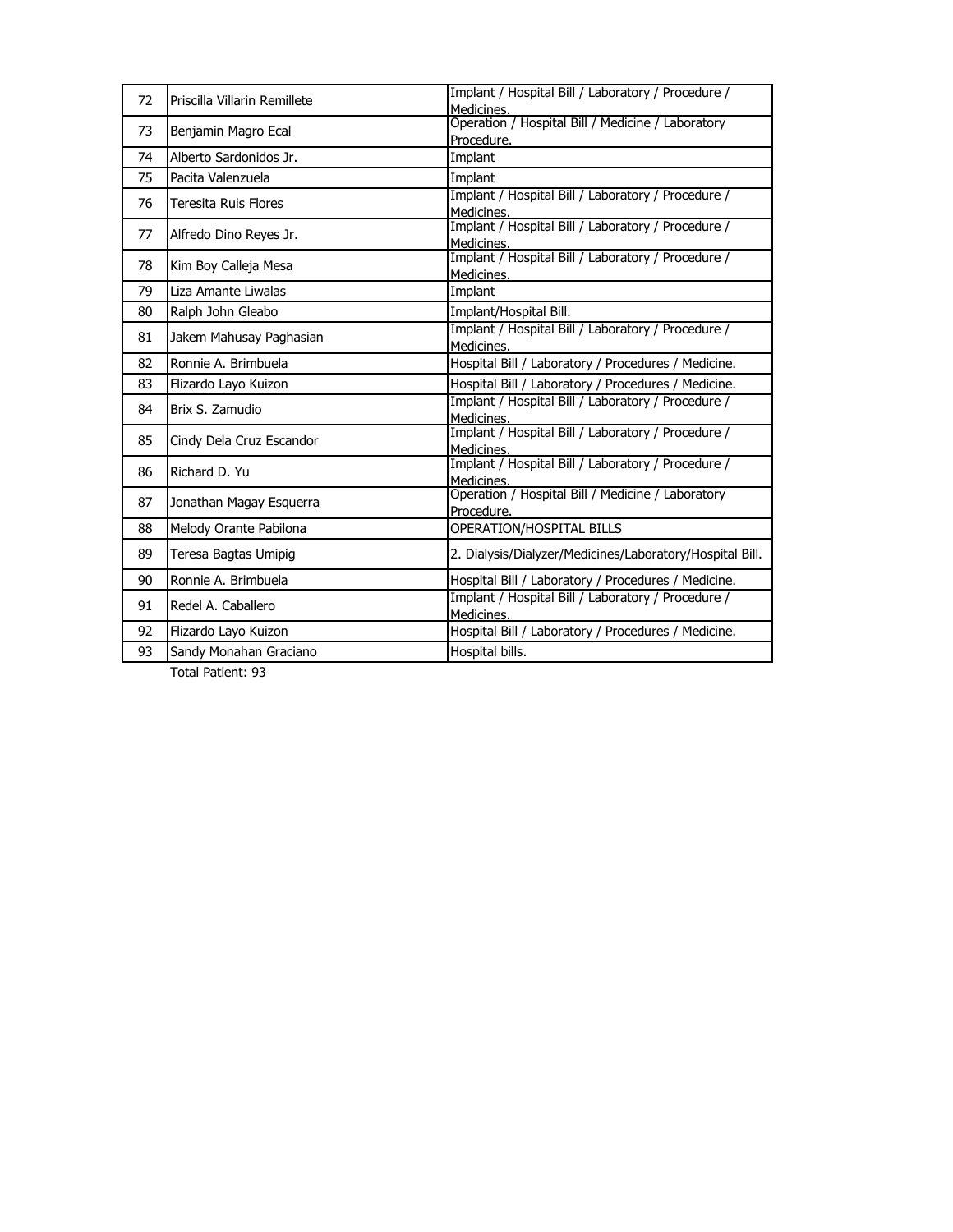| 72 | Priscilla Villarin Remillete | Implant / Hospital Bill / Laboratory / Procedure /<br>Medicines. |
|----|------------------------------|------------------------------------------------------------------|
| 73 | Benjamin Magro Ecal          | Operation / Hospital Bill / Medicine / Laboratory                |
|    |                              | Procedure.                                                       |
| 74 | Alberto Sardonidos Jr.       | Implant                                                          |
| 75 | Pacita Valenzuela            | Implant                                                          |
| 76 | Teresita Ruis Flores         | Implant / Hospital Bill / Laboratory / Procedure /<br>Medicines. |
| 77 | Alfredo Dino Reyes Jr.       | Implant / Hospital Bill / Laboratory / Procedure /<br>Medicines. |
| 78 | Kim Boy Calleja Mesa         | Implant / Hospital Bill / Laboratory / Procedure /<br>Medicines. |
| 79 | Liza Amante Liwalas          | Implant                                                          |
| 80 | Ralph John Gleabo            | Implant/Hospital Bill.                                           |
| 81 | Jakem Mahusay Paghasian      | Implant / Hospital Bill / Laboratory / Procedure /<br>Medicines. |
| 82 | Ronnie A. Brimbuela          | Hospital Bill / Laboratory / Procedures / Medicine.              |
| 83 | Flizardo Layo Kuizon         | Hospital Bill / Laboratory / Procedures / Medicine.              |
|    |                              |                                                                  |
| 84 | Brix S. Zamudio              | Implant / Hospital Bill / Laboratory / Procedure /<br>Medicines. |
| 85 | Cindy Dela Cruz Escandor     | Implant / Hospital Bill / Laboratory / Procedure /<br>Medicines. |
| 86 | Richard D. Yu                | Implant / Hospital Bill / Laboratory / Procedure /<br>Medicines. |
| 87 | Jonathan Magay Esquerra      | Operation / Hospital Bill / Medicine / Laboratory<br>Procedure.  |
| 88 | Melody Orante Pabilona       | OPERATION/HOSPITAL BILLS                                         |
| 89 | Teresa Bagtas Umipig         | 2. Dialysis/Dialyzer/Medicines/Laboratory/Hospital Bill.         |
| 90 | Ronnie A. Brimbuela          | Hospital Bill / Laboratory / Procedures / Medicine.              |
| 91 | Redel A. Caballero           | Implant / Hospital Bill / Laboratory / Procedure /<br>Medicines. |
| 92 | Flizardo Layo Kuizon         | Hospital Bill / Laboratory / Procedures / Medicine.              |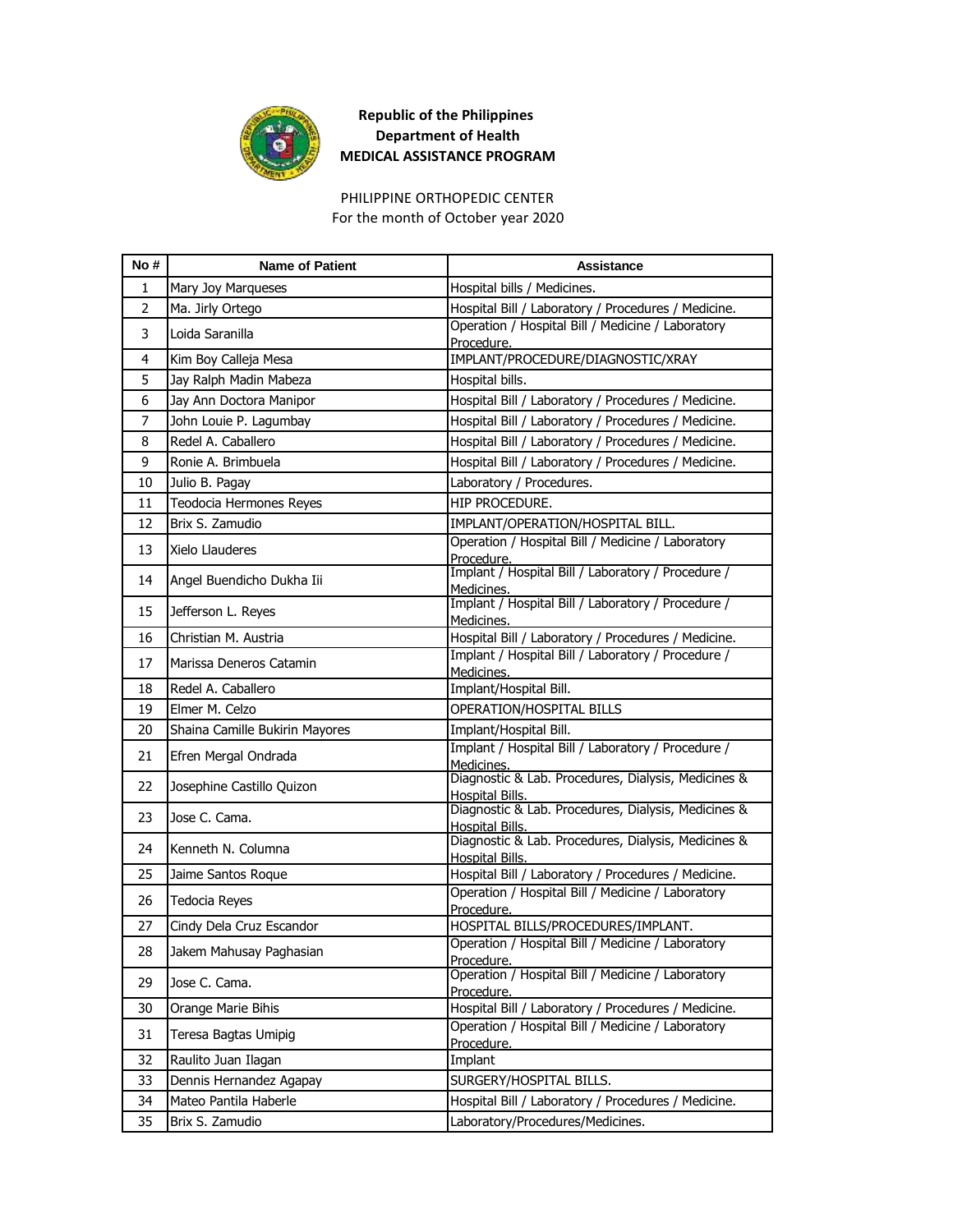

PHILIPPINE ORTHOPEDIC CENTER For the month of October year 2020

| No #           | <b>Name of Patient</b>         | <b>Assistance</b>                                                             |
|----------------|--------------------------------|-------------------------------------------------------------------------------|
| 1              | Mary Joy Marqueses             | Hospital bills / Medicines.                                                   |
| $\overline{2}$ | Ma. Jirly Ortego               | Hospital Bill / Laboratory / Procedures / Medicine.                           |
| 3              | Loida Saranilla                | Operation / Hospital Bill / Medicine / Laboratory<br>Procedure.               |
| 4              | Kim Boy Calleja Mesa           | IMPLANT/PROCEDURE/DIAGNOSTIC/XRAY                                             |
| 5              | Jay Ralph Madin Mabeza         | Hospital bills.                                                               |
| 6              | Jay Ann Doctora Manipor        | Hospital Bill / Laboratory / Procedures / Medicine.                           |
| $\overline{7}$ | John Louie P. Lagumbay         | Hospital Bill / Laboratory / Procedures / Medicine.                           |
| 8              | Redel A. Caballero             | Hospital Bill / Laboratory / Procedures / Medicine.                           |
| 9              | Ronie A. Brimbuela             | Hospital Bill / Laboratory / Procedures / Medicine.                           |
| 10             | Julio B. Pagay                 | Laboratory / Procedures.                                                      |
| 11             | Teodocia Hermones Reyes        | HIP PROCEDURE.                                                                |
| 12             | Brix S. Zamudio                | IMPLANT/OPERATION/HOSPITAL BILL.                                              |
| 13             | Xielo Llauderes                | Operation / Hospital Bill / Medicine / Laboratory<br>Procedure.               |
| 14             | Angel Buendicho Dukha Iii      | Implant / Hospital Bill / Laboratory / Procedure /<br>Medicines.              |
| 15             | Jefferson L. Reyes             | Implant / Hospital Bill / Laboratory / Procedure /<br>Medicines.              |
| 16             | Christian M. Austria           | Hospital Bill / Laboratory / Procedures / Medicine.                           |
| 17             | Marissa Deneros Catamin        | Implant / Hospital Bill / Laboratory / Procedure /<br>Medicines.              |
| 18             | Redel A. Caballero             | Implant/Hospital Bill.                                                        |
| 19             | Elmer M. Celzo                 | OPERATION/HOSPITAL BILLS                                                      |
| 20             | Shaina Camille Bukirin Mayores | Implant/Hospital Bill.                                                        |
| 21             | Efren Mergal Ondrada           | Implant / Hospital Bill / Laboratory / Procedure /<br>Medicines.              |
| 22             | Josephine Castillo Quizon      | Diagnostic & Lab. Procedures, Dialysis, Medicines &<br>Hospital Bills.        |
| 23             | Jose C. Cama.                  | Diagnostic & Lab. Procedures, Dialysis, Medicines &<br>Hospital Bills.        |
| 24             | Kenneth N. Columna             | Diagnostic & Lab. Procedures, Dialysis, Medicines &<br><b>Hospital Bills.</b> |
| 25             | Jaime Santos Roque             | Hospital Bill / Laboratory / Procedures / Medicine.                           |
| 26             | <b>Tedocia Reyes</b>           | Operation / Hospital Bill / Medicine / Laboratory<br>Procedure.               |
| 27             | Cindy Dela Cruz Escandor       | HOSPITAL BILLS/PROCEDURES/IMPLANT.                                            |
| 28             | Jakem Mahusay Paghasian        | Operation / Hospital Bill / Medicine / Laboratory<br>Procedure.               |
| 29             | Jose C. Cama.                  | Operation / Hospital Bill / Medicine / Laboratory<br>Procedure.               |
| 30             | Orange Marie Bihis             | Hospital Bill / Laboratory / Procedures / Medicine.                           |
| 31             | Teresa Bagtas Umipig           | Operation / Hospital Bill / Medicine / Laboratory<br>Procedure.               |
| 32             | Raulito Juan Ilagan            | Implant                                                                       |
| 33             | Dennis Hernandez Agapay        | SURGERY/HOSPITAL BILLS.                                                       |
| 34             | Mateo Pantila Haberle          | Hospital Bill / Laboratory / Procedures / Medicine.                           |
| 35             | Brix S. Zamudio                | Laboratory/Procedures/Medicines.                                              |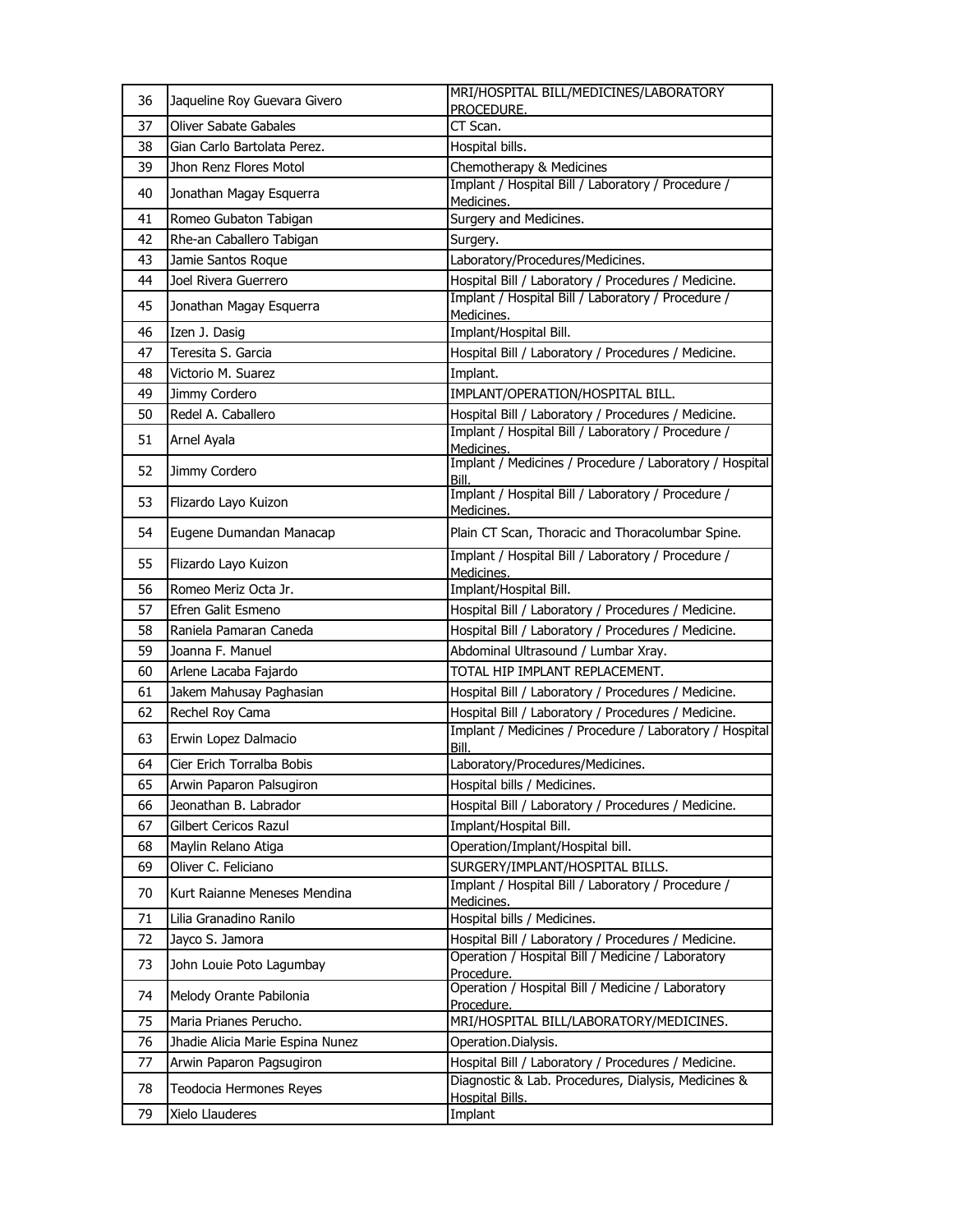| 36 | Jaqueline Roy Guevara Givero     | MRI/HOSPITAL BILL/MEDICINES/LABORATORY<br>PROCEDURE.                          |
|----|----------------------------------|-------------------------------------------------------------------------------|
| 37 | <b>Oliver Sabate Gabales</b>     | CT Scan.                                                                      |
| 38 | Gian Carlo Bartolata Perez.      | Hospital bills.                                                               |
| 39 | Jhon Renz Flores Motol           | Chemotherapy & Medicines                                                      |
| 40 | Jonathan Magay Esquerra          | Implant / Hospital Bill / Laboratory / Procedure /<br>Medicines.              |
| 41 | Romeo Gubaton Tabigan            | Surgery and Medicines.                                                        |
| 42 | Rhe-an Caballero Tabigan         | Surgery.                                                                      |
| 43 | Jamie Santos Roque               | Laboratory/Procedures/Medicines.                                              |
| 44 | Joel Rivera Guerrero             | Hospital Bill / Laboratory / Procedures / Medicine.                           |
| 45 | Jonathan Magay Esquerra          | Implant / Hospital Bill / Laboratory / Procedure /<br>Medicines.              |
| 46 | Izen J. Dasig                    | Implant/Hospital Bill.                                                        |
| 47 | Teresita S. Garcia               | Hospital Bill / Laboratory / Procedures / Medicine.                           |
| 48 | Victorio M. Suarez               | Implant.                                                                      |
| 49 | Jimmy Cordero                    | IMPLANT/OPERATION/HOSPITAL BILL.                                              |
| 50 | Redel A. Caballero               | Hospital Bill / Laboratory / Procedures / Medicine.                           |
| 51 | Arnel Ayala                      | Implant / Hospital Bill / Laboratory / Procedure /                            |
|    |                                  | Medicines.<br>Implant / Medicines / Procedure / Laboratory / Hospital         |
| 52 | Jimmy Cordero                    | Bill.                                                                         |
| 53 | Flizardo Layo Kuizon             | Implant / Hospital Bill / Laboratory / Procedure /<br>Medicines.              |
| 54 | Eugene Dumandan Manacap          | Plain CT Scan, Thoracic and Thoracolumbar Spine.                              |
| 55 | Flizardo Layo Kuizon             | Implant / Hospital Bill / Laboratory / Procedure /<br>Medicines.              |
| 56 | Romeo Meriz Octa Jr.             | Implant/Hospital Bill.                                                        |
| 57 | Efren Galit Esmeno               | Hospital Bill / Laboratory / Procedures / Medicine.                           |
| 58 | Raniela Pamaran Caneda           | Hospital Bill / Laboratory / Procedures / Medicine.                           |
| 59 | Joanna F. Manuel                 | Abdominal Ultrasound / Lumbar Xray.                                           |
| 60 | Arlene Lacaba Fajardo            | TOTAL HIP IMPLANT REPLACEMENT.                                                |
| 61 | Jakem Mahusay Paghasian          | Hospital Bill / Laboratory / Procedures / Medicine.                           |
| 62 | Rechel Rov Cama                  | Hospital Bill / Laboratory / Procedures / Medicine.                           |
| 63 | Erwin Lopez Dalmacio             | Implant / Medicines / Procedure / Laboratory / Hospital<br>Bill.              |
| 64 | Cier Erich Torralba Bobis        | Laboratory/Procedures/Medicines.                                              |
| 65 | Arwin Paparon Palsugiron         | Hospital bills / Medicines.                                                   |
| 66 | Jeonathan B. Labrador            | Hospital Bill / Laboratory / Procedures / Medicine.                           |
| 67 | Gilbert Cericos Razul            | Implant/Hospital Bill.                                                        |
| 68 | Maylin Relano Atiga              | Operation/Implant/Hospital bill.                                              |
| 69 | Oliver C. Feliciano              | SURGERY/IMPLANT/HOSPITAL BILLS.                                               |
| 70 | Kurt Raianne Meneses Mendina     | Implant / Hospital Bill / Laboratory / Procedure /<br>Medicines.              |
| 71 | Lilia Granadino Ranilo           | Hospital bills / Medicines.                                                   |
| 72 | Jayco S. Jamora                  | Hospital Bill / Laboratory / Procedures / Medicine.                           |
| 73 | John Louie Poto Lagumbay         | Operation / Hospital Bill / Medicine / Laboratory<br>Procedure.               |
| 74 | Melody Orante Pabilonia          | Operation / Hospital Bill / Medicine / Laboratory<br>Procedure.               |
| 75 | Maria Prianes Perucho.           | MRI/HOSPITAL BILL/LABORATORY/MEDICINES.                                       |
| 76 | Jhadie Alicia Marie Espina Nunez | Operation.Dialysis.                                                           |
| 77 | Arwin Paparon Pagsugiron         | Hospital Bill / Laboratory / Procedures / Medicine.                           |
| 78 | Teodocia Hermones Reyes          | Diagnostic & Lab. Procedures, Dialysis, Medicines &<br><b>Hospital Bills.</b> |
| 79 | Xielo Llauderes                  | Implant                                                                       |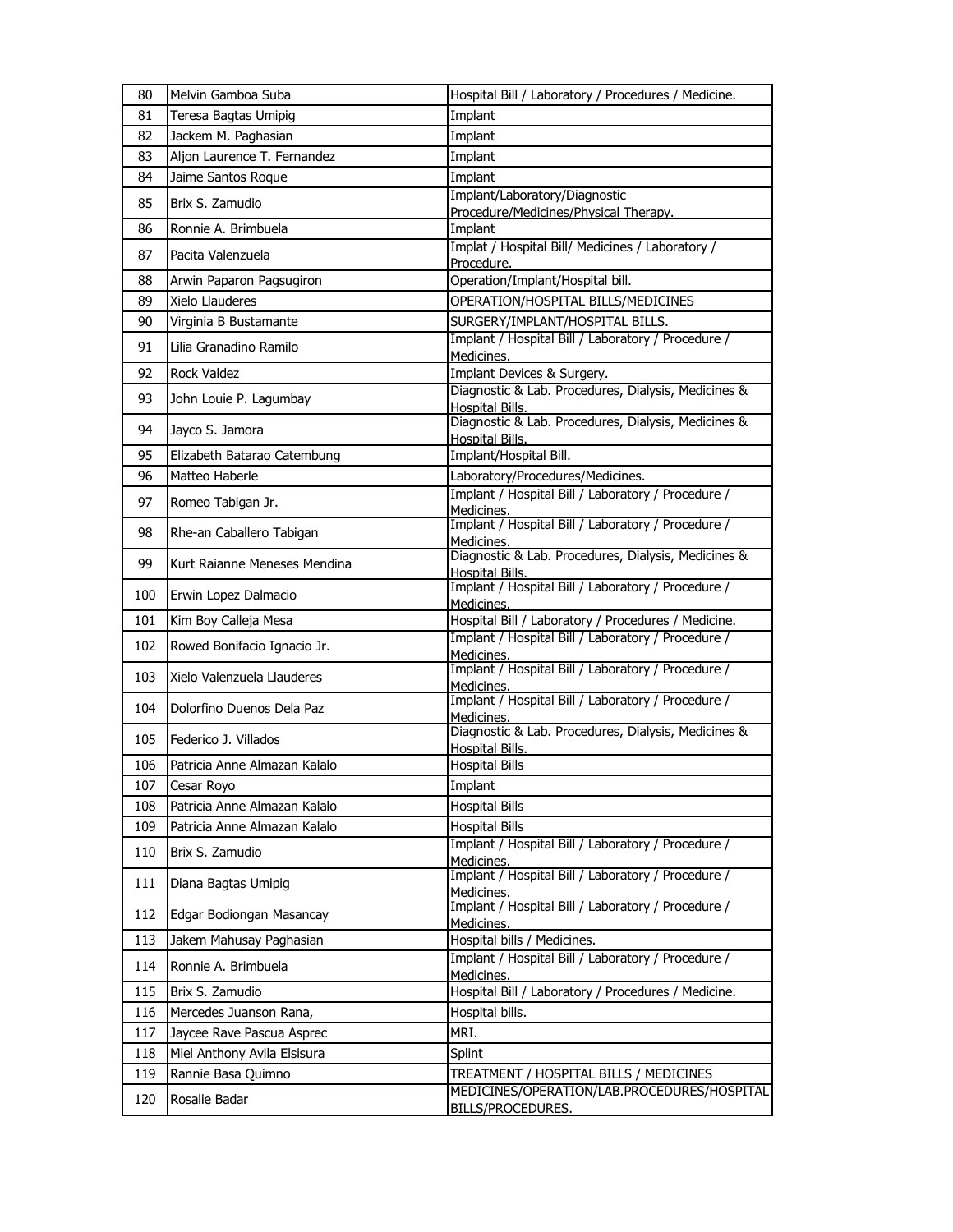| 80  | Melvin Gamboa Suba           | Hospital Bill / Laboratory / Procedures / Medicine.                           |
|-----|------------------------------|-------------------------------------------------------------------------------|
| 81  | Teresa Bagtas Umipig         | Implant                                                                       |
| 82  | Jackem M. Paghasian          | Implant                                                                       |
| 83  | Aljon Laurence T. Fernandez  | Implant                                                                       |
| 84  | Jaime Santos Roque           | Implant                                                                       |
| 85  | Brix S. Zamudio              | Implant/Laboratory/Diagnostic<br>Procedure/Medicines/Physical Therapy.        |
| 86  | Ronnie A. Brimbuela          | Implant                                                                       |
| 87  | Pacita Valenzuela            | Implat / Hospital Bill/ Medicines / Laboratory /                              |
| 88  | Arwin Paparon Pagsugiron     | Procedure.<br>Operation/Implant/Hospital bill.                                |
| 89  | Xielo Llauderes              | OPERATION/HOSPITAL BILLS/MEDICINES                                            |
| 90  | Virginia B Bustamante        | SURGERY/IMPLANT/HOSPITAL BILLS.                                               |
|     |                              | Implant / Hospital Bill / Laboratory / Procedure /                            |
| 91  | Lilia Granadino Ramilo       | Medicines.                                                                    |
| 92  | <b>Rock Valdez</b>           | Implant Devices & Surgery.                                                    |
| 93  | John Louie P. Lagumbay       | Diagnostic & Lab. Procedures, Dialysis, Medicines &<br>Hospital Bills.        |
| 94  | Jayco S. Jamora              | Diagnostic & Lab. Procedures, Dialysis, Medicines &<br><b>Hospital Bills.</b> |
| 95  | Elizabeth Batarao Catembung  | Implant/Hospital Bill.                                                        |
| 96  | Matteo Haberle               | Laboratory/Procedures/Medicines.                                              |
| 97  | Romeo Tabigan Jr.            | Implant / Hospital Bill / Laboratory / Procedure /<br>Medicines.              |
| 98  | Rhe-an Caballero Tabigan     | Implant / Hospital Bill / Laboratory / Procedure /<br>Medicines.              |
| 99  | Kurt Raianne Meneses Mendina | Diagnostic & Lab. Procedures, Dialysis, Medicines &<br><b>Hospital Bills.</b> |
| 100 | Erwin Lopez Dalmacio         | Implant / Hospital Bill / Laboratory / Procedure /<br>Medicines.              |
| 101 | Kim Boy Calleja Mesa         | Hospital Bill / Laboratory / Procedures / Medicine.                           |
| 102 | Rowed Bonifacio Ignacio Jr.  | Implant / Hospital Bill / Laboratory / Procedure /<br>Medicines.              |
| 103 | Xielo Valenzuela Llauderes   | Implant / Hospital Bill / Laboratory / Procedure /<br>Medicines.              |
| 104 | Dolorfino Duenos Dela Paz    | Implant / Hospital Bill / Laboratory / Procedure /<br>Medicines.              |
| 105 | Federico J. Villados         | Diagnostic & Lab. Procedures, Dialysis, Medicines &<br><b>Hospital Bills.</b> |
| 106 | Patricia Anne Almazan Kalalo | <b>Hospital Bills</b>                                                         |
| 107 | Cesar Royo                   | Implant                                                                       |
| 108 | Patricia Anne Almazan Kalalo | <b>Hospital Bills</b>                                                         |
| 109 | Patricia Anne Almazan Kalalo | <b>Hospital Bills</b>                                                         |
| 110 | Brix S. Zamudio              | Implant / Hospital Bill / Laboratory / Procedure /<br>Medicines.              |
| 111 | Diana Bagtas Umipig          | Implant / Hospital Bill / Laboratory / Procedure /<br>Medicines.              |
| 112 | Edgar Bodiongan Masancay     | Implant / Hospital Bill / Laboratory / Procedure /<br>Medicines.              |
| 113 | Jakem Mahusay Paghasian      | Hospital bills / Medicines.                                                   |
| 114 | Ronnie A. Brimbuela          | Implant / Hospital Bill / Laboratory / Procedure /<br>Medicines.              |
| 115 | Brix S. Zamudio              | Hospital Bill / Laboratory / Procedures / Medicine.                           |
| 116 | Mercedes Juanson Rana,       | Hospital bills.                                                               |
| 117 | Jaycee Rave Pascua Asprec    | MRI.                                                                          |
| 118 | Miel Anthony Avila Elsisura  | Splint                                                                        |
| 119 | Rannie Basa Quimno           | TREATMENT / HOSPITAL BILLS / MEDICINES                                        |
| 120 | Rosalie Badar                | MEDICINES/OPERATION/LAB.PROCEDURES/HOSPITAL<br>BILLS/PROCEDURES.              |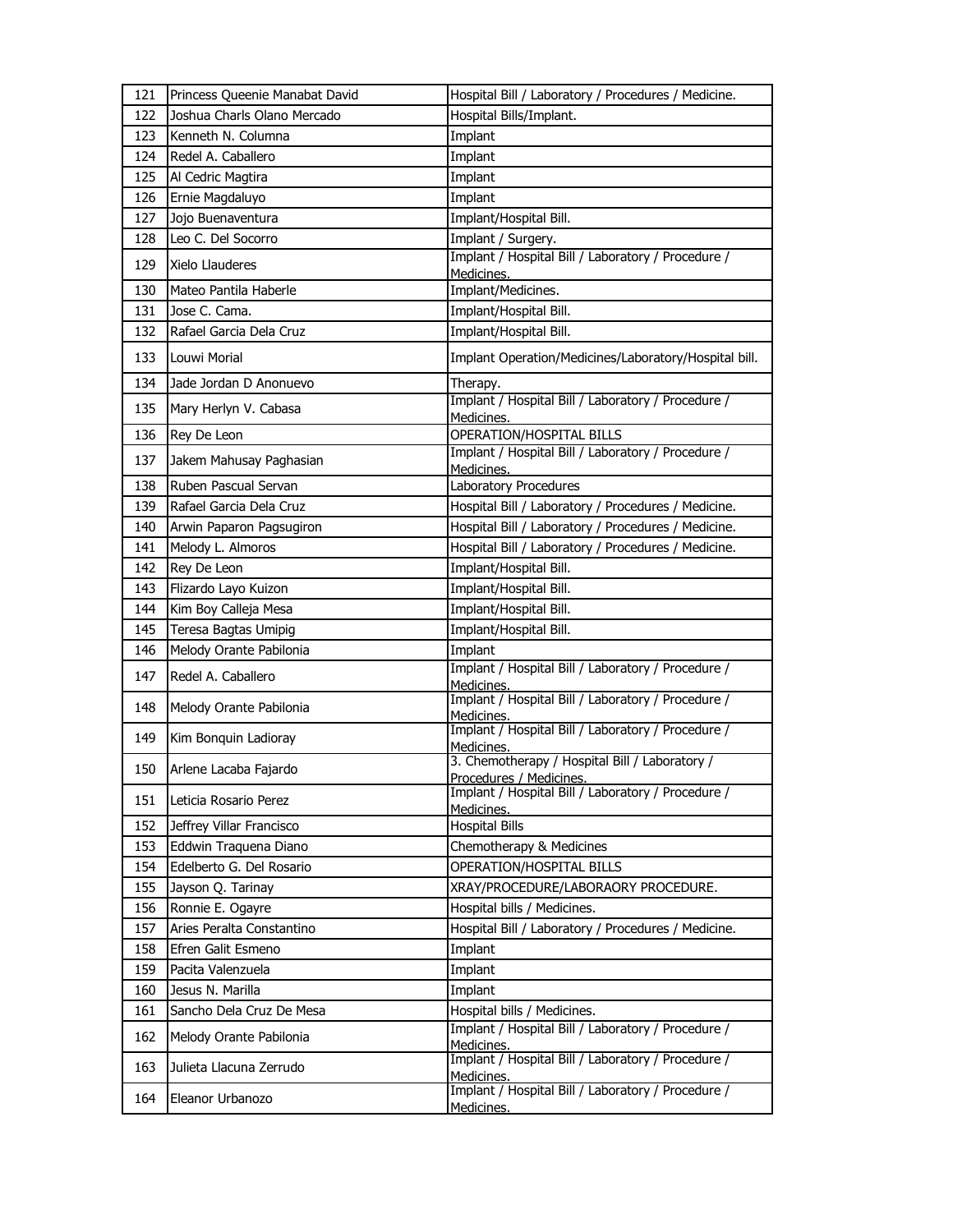| 121 | Princess Queenie Manabat David | Hospital Bill / Laboratory / Procedures / Medicine.                      |
|-----|--------------------------------|--------------------------------------------------------------------------|
| 122 | Joshua Charls Olano Mercado    | Hospital Bills/Implant.                                                  |
| 123 | Kenneth N. Columna             | Implant                                                                  |
| 124 | Redel A. Caballero             | Implant                                                                  |
| 125 | Al Cedric Magtira              | Implant                                                                  |
| 126 | Ernie Magdaluyo                | Implant                                                                  |
| 127 | Jojo Buenaventura              | Implant/Hospital Bill.                                                   |
| 128 | Leo C. Del Socorro             | Implant / Surgery.                                                       |
| 129 | Xielo Llauderes                | Implant / Hospital Bill / Laboratory / Procedure /<br>Medicines.         |
| 130 | Mateo Pantila Haberle          | Implant/Medicines.                                                       |
| 131 | Jose C. Cama.                  | Implant/Hospital Bill.                                                   |
| 132 | Rafael Garcia Dela Cruz        | Implant/Hospital Bill.                                                   |
| 133 | Louwi Morial                   | Implant Operation/Medicines/Laboratory/Hospital bill.                    |
| 134 | Jade Jordan D Anonuevo         | Therapy.                                                                 |
| 135 | Mary Herlyn V. Cabasa          | Implant / Hospital Bill / Laboratory / Procedure /<br>Medicines.         |
| 136 | Rey De Leon                    | OPERATION/HOSPITAL BILLS                                                 |
| 137 | Jakem Mahusay Paghasian        | Implant / Hospital Bill / Laboratory / Procedure /                       |
| 138 | Ruben Pascual Servan           | Medicines.<br>Laboratory Procedures                                      |
| 139 | Rafael Garcia Dela Cruz        | Hospital Bill / Laboratory / Procedures / Medicine.                      |
| 140 | Arwin Paparon Pagsugiron       | Hospital Bill / Laboratory / Procedures / Medicine.                      |
| 141 | Melody L. Almoros              | Hospital Bill / Laboratory / Procedures / Medicine.                      |
| 142 | Rey De Leon                    | Implant/Hospital Bill.                                                   |
| 143 | Flizardo Layo Kuizon           | Implant/Hospital Bill.                                                   |
| 144 | Kim Boy Calleja Mesa           | Implant/Hospital Bill.                                                   |
| 145 | Teresa Bagtas Umipig           | Implant/Hospital Bill.                                                   |
| 146 | Melody Orante Pabilonia        | Implant                                                                  |
|     |                                | Implant / Hospital Bill / Laboratory / Procedure /                       |
| 147 | Redel A. Caballero             | Medicines.                                                               |
| 148 | Melody Orante Pabilonia        | Implant / Hospital Bill / Laboratory / Procedure /<br>Medicines.         |
| 149 | Kim Bonquin Ladioray           | Implant / Hospital Bill / Laboratory / Procedure /<br>Medicines.         |
| 150 | Arlene Lacaba Fajardo          | 3. Chemotherapy / Hospital Bill / Laboratory /<br>Procedures / Medicines |
| 151 | Leticia Rosario Perez          | Implant / Hospital Bill / Laboratory / Procedure /<br>Medicines.         |
| 152 | Jeffrey Villar Francisco       | <b>Hospital Bills</b>                                                    |
| 153 | Eddwin Traquena Diano          | Chemotherapy & Medicines                                                 |
| 154 | Edelberto G. Del Rosario       | OPERATION/HOSPITAL BILLS                                                 |
| 155 | Jayson Q. Tarinay              | XRAY/PROCEDURE/LABORAORY PROCEDURE.                                      |
| 156 | Ronnie E. Ogayre               | Hospital bills / Medicines.                                              |
| 157 | Aries Peralta Constantino      | Hospital Bill / Laboratory / Procedures / Medicine.                      |
| 158 | Efren Galit Esmeno             | Implant                                                                  |
| 159 | Pacita Valenzuela              | Implant                                                                  |
| 160 | Jesus N. Marilla               | Implant                                                                  |
| 161 | Sancho Dela Cruz De Mesa       | Hospital bills / Medicines.                                              |
| 162 | Melody Orante Pabilonia        | Implant / Hospital Bill / Laboratory / Procedure /                       |
|     |                                | Medicines.<br>Implant / Hospital Bill / Laboratory / Procedure /         |
| 163 | Julieta Llacuna Zerrudo        | Medicines.                                                               |
| 164 | Eleanor Urbanozo               | Implant / Hospital Bill / Laboratory / Procedure /<br>Medicines.         |